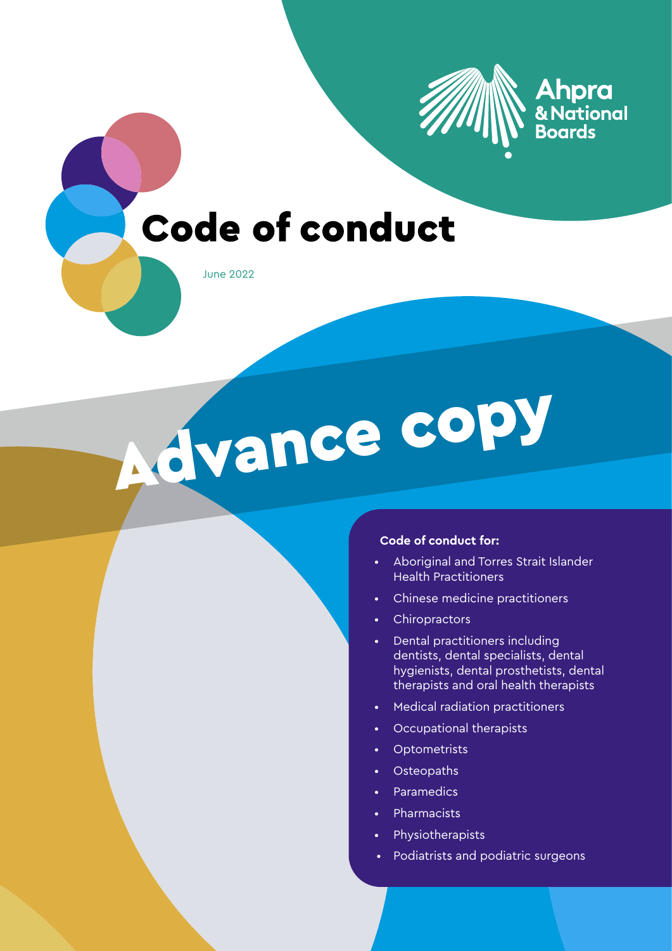

### Ahpra & National **Boards**

# **Code of conduct**

June 2022

Advance copy

#### **Code of conduct for:**

- Aboriginal and Torres Strait Islander Health Practitioners
- Chinese medicine practitioners
- Chiropractors
- Dental practitioners including dentists, dental specialists, dental hygienists, dental prosthetists, dental therapists and oral health therapists
- Medical radiation practitioners
- Occupational therapists
- Optometrists
- Osteopaths
- Paramedics
- Pharmacists
- Physiotherapists
- Podiatrists and podiatric surgeons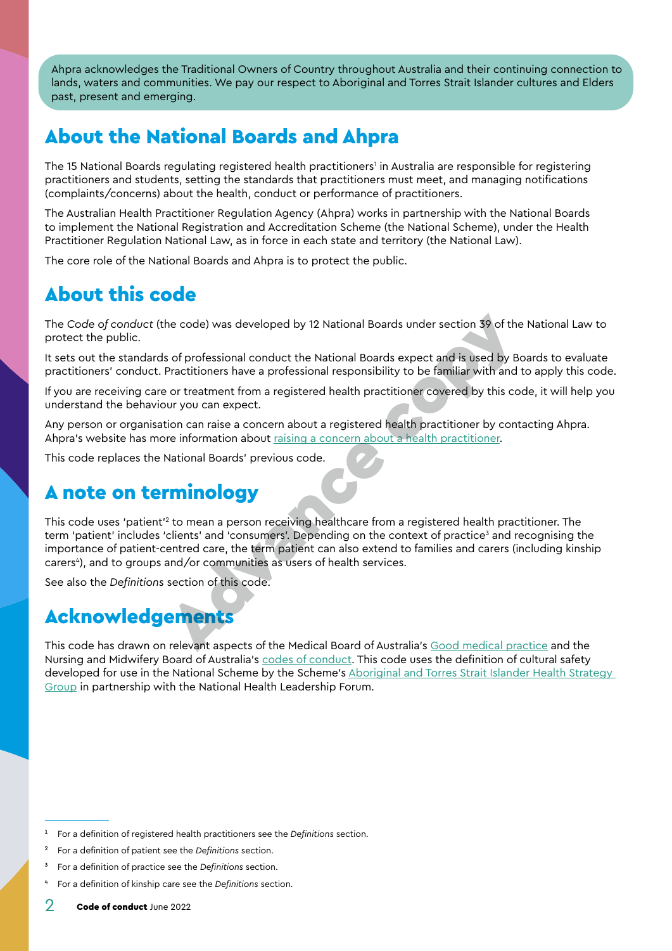<span id="page-1-0"></span>Ahpra acknowledges the Traditional Owners of Country throughout Australia and their continuing connection to lands, waters and communities. We pay our respect to Aboriginal and Torres Strait Islander cultures and Elders past, present and emerging.

### About the National Boards and Ahpra

The 15 National Boards regulating registered health practitioners' in Australia are responsible for registering practitioners and students, setting the standards that practitioners must meet, and managing notifications (complaints/concerns) about the health, conduct or performance of practitioners.

The Australian Health Practitioner Regulation Agency (Ahpra) works in partnership with the National Boards to implement the National Registration and Accreditation Scheme (the National Scheme), under the Health Practitioner Regulation National Law, as in force in each state and territory (the National Law).

The core role of the National Boards and Ahpra is to protect the public.

# About this code

The *Code of conduct* (the code) was developed by 12 National Boards under section 39 of the National Law to protect the public.

It sets out the standards of professional conduct the National Boards expect and is used by Boards to evaluate practitioners' conduct. Practitioners have a professional responsibility to be familiar with and to apply this code.

If you are receiving care or treatment from a registered health practitioner covered by this code, it will help you understand the behaviour you can expect.

Any person or organisation can raise a concern about a registered health practitioner by contacting Ahpra. Ahpra's website has more information about raising a concern about a health practitioner.

This code replaces the National Boards' previous code.

### A note on terminology

This code uses 'patient'<sup>2</sup> to mean a person receiving healthcare from a registered health practitioner. The term 'patient' includes 'clients' and 'consumers'. Depending on the context of practice<sup>3</sup> and recognising the importance of patient-centred care, the term patient can also extend to families and carers (including kinship carers<sup>4</sup>), and to groups and/or communities as users of health services. th[e](https://www.ahpra.gov.au/Notifications/Concerned-about-a-health-practitioner.aspx) [c](https://www.ahpra.gov.au/Notifications/Concerned-about-a-health-practitioner.aspx)ode) was developed by 12 National Boards under section 39 of the<br>s of professional conduct the National Boards expect and is used by Be<br>Practitioners have a professional responsibility to be familiar with and<br>or treat

See also the *[Definitions](#page-28-0)* section of this code.

### Acknowledgements

This code has drawn on relevant aspects of the Medical Board of Australia's Good medical practice and the Nursing and Midwifery Board of Australia's [codes of conduct.](https://www.nursingmidwiferyboard.gov.au/Codes-Guidelines-Statements/Professional-standards.aspx) This code uses the definition of cultural safety developed for use in the National Scheme by the Scheme's Aboriginal and Torres Strait Islander Health Strategy [Group](https://www.ahpra.gov.au/About-Ahpra/Aboriginal-and-Torres-Strait-Islander-Health-Strategy.aspx) in partnership with the National Health Leadership Forum.

<sup>1</sup> For a definition of registered health practitioners see the *[Definitions](#page-28-0)* section.

<sup>2</sup> For a definition of patient see the *[Definitions](#page-28-0)* section.

<sup>3</sup> For a definition of practice see the *[Definitions](#page-28-0)* section.

<sup>4</sup> For a definition of kinship care see the *[Definitions](#page-28-0)* section.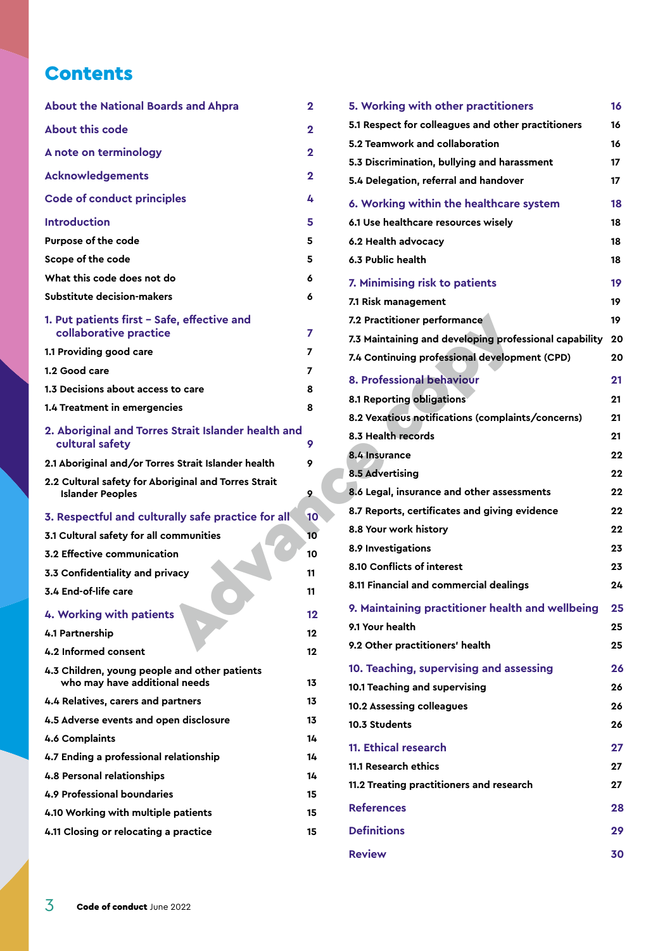### **Contents**

| <b>About the National Boards and Ahpra</b>                                      | 2  |
|---------------------------------------------------------------------------------|----|
| <b>About this code</b>                                                          | 2  |
| A note on terminology                                                           | 2  |
| <b>Acknowledgements</b>                                                         | 2  |
| <b>Code of conduct principles</b>                                               | 4  |
| <b>Introduction</b>                                                             | 5  |
| Purpose of the code                                                             | 5  |
| Scope of the code                                                               | 5  |
| What this code does not do                                                      | 6  |
| Substitute decision-makers                                                      | 6  |
| 1. Put patients first - Safe, effective and<br>collaborative practice           | 7  |
| 1.1 Providing good care                                                         | 7  |
| 1.2 Good care                                                                   | 7  |
| 1.3 Decisions about access to care                                              | 8  |
| 1.4 Treatment in emergencies                                                    | 8  |
| 2. Aboriginal and Torres Strait Islander health and<br>cultural safety          | 9  |
| 2.1 Aboriginal and/or Torres Strait Islander health                             | 9  |
| 2.2 Cultural safety for Aboriginal and Torres Strait<br><b>Islander Peoples</b> | 9  |
| 3. Respectful and culturally safe practice for all                              | 10 |
| 3.1 Cultural safety for all communities                                         | 10 |
| 3.2 Effective communication                                                     | 10 |
| 3.3 Confidentiality and privacy                                                 | 11 |
| 3.4 End-of-life care                                                            | 11 |
| 4. Working with patients                                                        | 12 |
| 4.1 Partnership                                                                 | 12 |
| 4.2 Informed consent                                                            | 12 |
| 4.3 Children, young people and other patients<br>who may have additional needs  |    |
|                                                                                 | 13 |
| 4.4 Relatives, carers and partners                                              | 13 |
| 4.5 Adverse events and open disclosure                                          | 13 |
| 4.6 Complaints                                                                  | 14 |
| 4.7 Ending a professional relationship                                          | 14 |
| <b>4.8 Personal relationships</b>                                               | 14 |
| 4.9 Professional boundaries                                                     | 15 |
| 4.10 Working with multiple patients                                             | 15 |
| 4.11 Closing or relocating a practice                                           | 15 |

| rds and Ahpra                     | $\mathbf{2}$   | 5. Working with other practitioners                    | 16 |
|-----------------------------------|----------------|--------------------------------------------------------|----|
|                                   | $\mathbf{2}$   | 5.1 Respect for colleagues and other practitioners     | 16 |
|                                   | $\mathbf{2}$   | 5.2 Teamwork and collaboration                         | 16 |
|                                   |                | 5.3 Discrimination, bullying and harassment            | 17 |
|                                   | $\mathbf{2}$   | 5.4 Delegation, referral and handover                  | 17 |
| ples                              | 4              | 6. Working within the healthcare system                | 18 |
|                                   | 5.             | 6.1 Use healthcare resources wisely                    | 18 |
|                                   | 5              | 6.2 Health advocacy                                    | 18 |
|                                   | 5              | 6.3 Public health                                      | 18 |
| do                                | 6              | 7. Minimising risk to patients                         | 19 |
| rs                                | 6              | 7.1 Risk management                                    | 19 |
| fe, effective and                 |                | 7.2 Practitioner performance                           | 19 |
| ē                                 | $\overline{7}$ | 7.3 Maintaining and developing professional capability | 20 |
|                                   | 7              | 7.4 Continuing professional development (CPD)          | 20 |
|                                   | 7              | 8. Professional behaviour                              | 21 |
| s to care                         | 8              | 8.1 Reporting obligations                              | 21 |
| cies                              | 8              | 8.2 Vexatious notifications (complaints/concerns)      | 21 |
| s Strait Islander health and      | 9              | 8.3 Health records                                     | 21 |
| es Strait Islander health         | 9              | 8.4 Insurance                                          | 22 |
| <b>priginal and Torres Strait</b> |                | <b>8.5 Advertising</b>                                 | 22 |
|                                   | 9              | 8.6 Legal, insurance and other assessments             | 22 |
| rally safe practice for all       | 10             | 8.7 Reports, certificates and giving evidence          | 22 |
| ommunities                        | 10             | 8.8 Your work history                                  | 22 |
| ion                               | 10             | 8.9 Investigations                                     | 23 |
| ivacy                             | 11             | 8.10 Conflicts of interest                             | 23 |
|                                   | 11             | 8.11 Financial and commercial dealings                 | 24 |
| ts                                | 12             | 9. Maintaining practitioner health and wellbeing       | 25 |
|                                   | $12 \,$        | 9.1 Your health                                        | 25 |
|                                   | $12 \,$        | 9.2 Other practitioners' health                        | 25 |
| e and other patients              |                | 10. Teaching, supervising and assessing                | 26 |
| nal needs                         | 13             | 10.1 Teaching and supervising                          | 26 |
| <b>artners</b>                    | 13             | 10.2 Assessing colleagues                              | 26 |
| oen disclosure                    | 13             | 10.3 Students                                          | 26 |
|                                   | 14             | 11. Ethical research                                   | 27 |
| relationship                      | 14             | 11.1 Research ethics                                   | 27 |
|                                   | 14             | 11.2 Treating practitioners and research               | 27 |
| эs<br>e patients                  | 15<br>15       | <b>References</b>                                      | 28 |
| a practice                        | 15             | <b>Definitions</b>                                     | 29 |
|                                   |                |                                                        |    |
|                                   |                | <b>Review</b>                                          | 30 |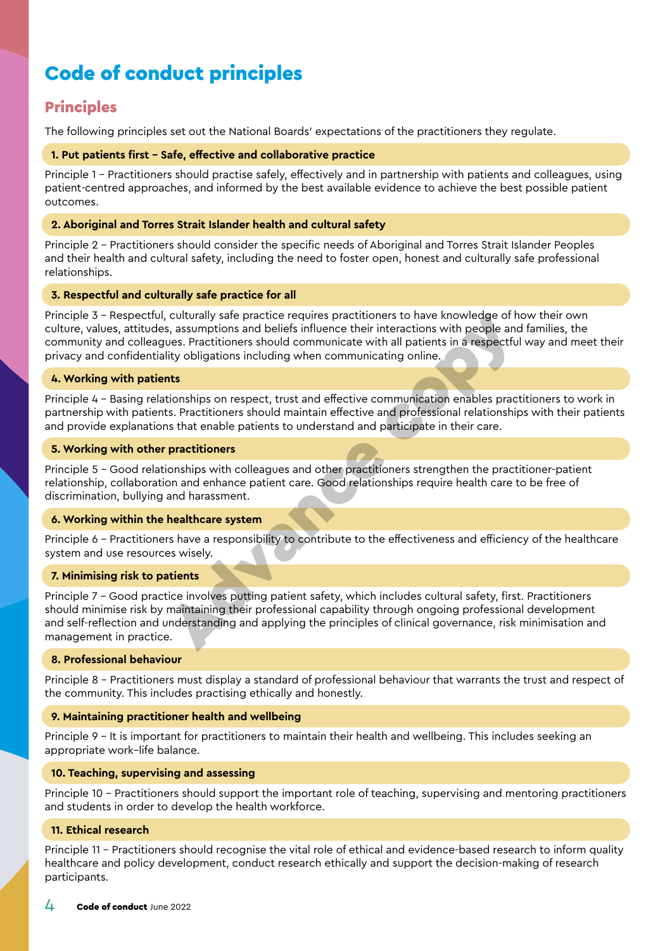# <span id="page-3-0"></span>Code of conduct principles

### **Principles**

The following principles set out the National Boards' expectations of the practitioners they regulate.

#### **1. Put patients first – Safe, effective and collaborative practice**

Principle 1 – Practitioners should practise safely, effectively and in partnership with patients and colleagues, using patient-centred approaches, and informed by the best available evidence to achieve the best possible patient outcomes.

#### **2. Aboriginal and Torres Strait Islander health and cultural safety**

Principle 2 – Practitioners should consider the specific needs of Aboriginal and Torres Strait Islander Peoples and their health and cultural safety, including the need to foster open, honest and culturally safe professional relationships.

#### **3. Respectful and culturally safe practice for all**

Principle 3 – Respectful, culturally safe practice requires practitioners to have knowledge of how their own culture, values, attitudes, assumptions and beliefs influence their interactions with people and families, the community and colleagues. Practitioners should communicate with all patients in a respectful way and meet their privacy and confidentiality obligations including when communicating online.

#### **4. Working with patients**

Principle 4 – Basing relationships on respect, trust and effective communication enables practitioners to work in partnership with patients. Practitioners should maintain effective and professional relationships with their patients and provide explanations that enable patients to understand and participate in their care.

#### **5. Working with other practitioners**

Principle 5 – Good relationships with colleagues and other practitioners strengthen the practitioner-patient relationship, collaboration and enhance patient care. Good relationships require health care to be free of discrimination, bullying and harassment.

#### **6. Working within the healthcare system**

Principle 6 – Practitioners have a responsibility to contribute to the effectiveness and efficiency of the healthcare system and use resources wisely.

#### **7. Minimising risk to patients**

Principle 7 – Good practice involves putting patient safety, which includes cultural safety, first. Practitioners should minimise risk by maintaining their professional capability through ongoing professional development and self-reflection and understanding and applying the principles of clinical governance, risk minimisation and management in practice. culturally safe paracter equives practitioners to have knowledge of here are a<br>s, a sasumptions and beliefs influence their interactions with people and<br>ues. Practitioners should communicate with all patients in a respectf

#### **8. Professional behaviour**

Principle 8 – Practitioners must display a standard of professional behaviour that warrants the trust and respect of the community. This includes practising ethically and honestly.

#### **9. Maintaining practitioner health and wellbeing**

Principle 9 – It is important for practitioners to maintain their health and wellbeing. This includes seeking an appropriate work–life balance.

#### **10. Teaching, supervising and assessing**

Principle 10 – Practitioners should support the important role of teaching, supervising and mentoring practitioners and students in order to develop the health workforce.

#### **11. Ethical research**

Principle 11 – Practitioners should recognise the vital role of ethical and evidence-based research to inform quality healthcare and policy development, conduct research ethically and support the decision-making of research participants.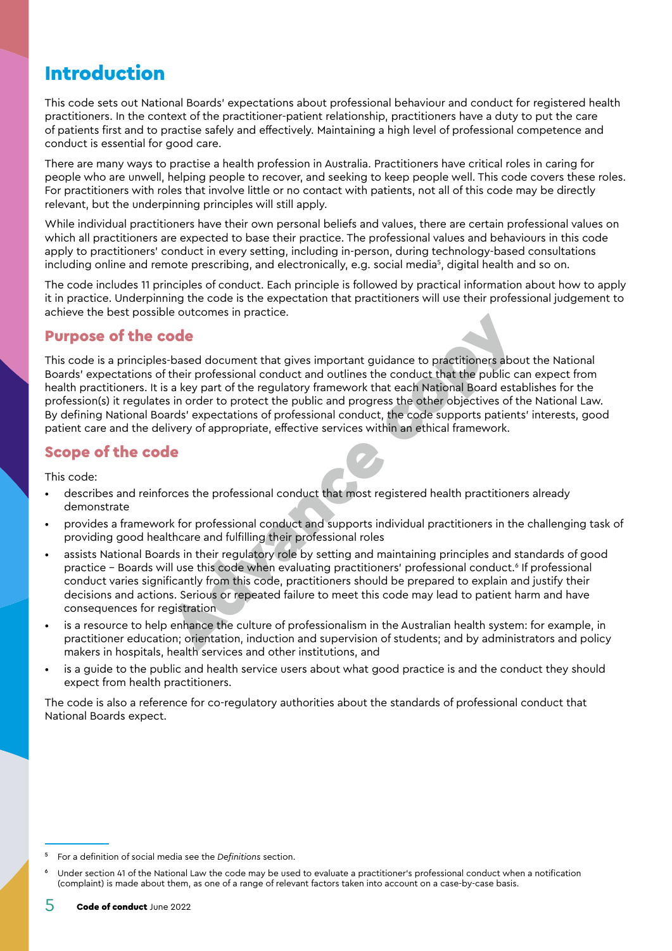### <span id="page-4-0"></span>Introduction

This code sets out National Boards' expectations about professional behaviour and conduct for registered health practitioners. In the context of the practitioner-patient relationship, practitioners have a duty to put the care of patients first and to practise safely and effectively. Maintaining a high level of professional competence and conduct is essential for good care.

There are many ways to practise a health profession in Australia. Practitioners have critical roles in caring for people who are unwell, helping people to recover, and seeking to keep people well. This code covers these roles. For practitioners with roles that involve little or no contact with patients, not all of this code may be directly relevant, but the underpinning principles will still apply.

While individual practitioners have their own personal beliefs and values, there are certain professional values on which all practitioners are expected to base their practice. The professional values and behaviours in this code apply to practitioners' conduct in every setting, including in-person, during technology-based consultations including online and remote prescribing, and electronically, e.g. social media<sup>s</sup>, digital health and so on.

The code includes 11 principles of conduct. Each principle is followed by practical information about how to apply it in practice. Underpinning the code is the expectation that practitioners will use their professional judgement to achieve the best possible outcomes in practice.

#### Purpose of the code

This code is a principles-based document that gives important guidance to practitioners about the National Boards' expectations of their professional conduct and outlines the conduct that the public can expect from health practitioners. It is a key part of the regulatory framework that each National Board establishes for the profession(s) it regulates in order to protect the public and progress the other objectives of the National Law. By defining National Boards' expectations of professional conduct, the code supports patients' interests, good patient care and the delivery of appropriate, effective services within an ethical framework. **contains the continuum of the control of the control of the conducts and the conduct and outlines the conduct that the public control their professional conduct and outlines the conduct that the public cis in order to pro** 

#### Scope of the code

This code:

- describes and reinforces the professional conduct that most registered health practitioners already demonstrate
- provides a framework for professional conduct and supports individual practitioners in the challenging task of providing good healthcare and fulfilling their professional roles
- assists National Boards in their regulatory role by setting and maintaining principles and standards of good practice – Boards will use this code when evaluating practitioners' professional conduct.6 If professional conduct varies significantly from this code, practitioners should be prepared to explain and justify their decisions and actions. Serious or repeated failure to meet this code may lead to patient harm and have consequences for registration
- is a resource to help enhance the culture of professionalism in the Australian health system: for example, in practitioner education; orientation, induction and supervision of students; and by administrators and policy makers in hospitals, health services and other institutions, and
- is a guide to the public and health service users about what good practice is and the conduct they should expect from health practitioners.

The code is also a reference for co-regulatory authorities about the standards of professional conduct that National Boards expect.

<sup>5</sup> For a definition of social media see the *[Definitions](#page-28-0)* section.

Under section 41 of the National Law the code may be used to evaluate a practitioner's professional conduct when a notification (complaint) is made about them, as one of a range of relevant factors taken into account on a case-by-case basis.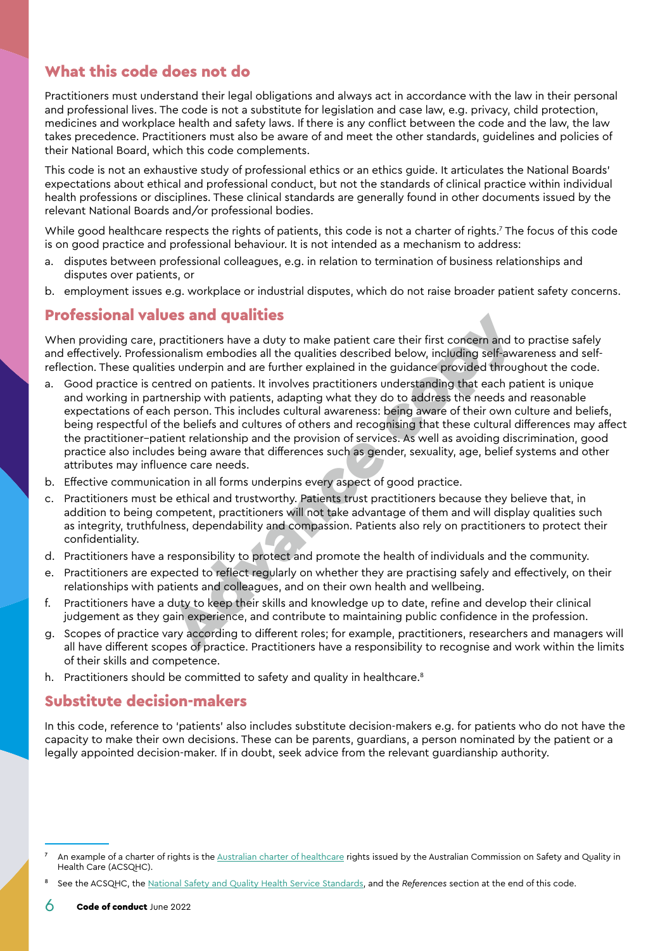### <span id="page-5-0"></span>What this code does not do

Practitioners must understand their legal obligations and always act in accordance with the law in their personal and professional lives. The code is not a substitute for legislation and case law, e.g. privacy, child protection, medicines and workplace health and safety laws. If there is any conflict between the code and the law, the law takes precedence. Practitioners must also be aware of and meet the other standards, guidelines and policies of their National Board, which this code complements.

This code is not an exhaustive study of professional ethics or an ethics guide. It articulates the National Boards' expectations about ethical and professional conduct, but not the standards of clinical practice within individual health professions or disciplines. These clinical standards are generally found in other documents issued by the relevant National Boards and/or professional bodies.

While good healthcare respects the rights of patients, this code is not a charter of rights.7 The focus of this code is on good practice and professional behaviour. It is not intended as a mechanism to address:

- a. disputes between professional colleagues, e.g. in relation to termination of business relationships and disputes over patients, or
- b. employment issues e.g. workplace or industrial disputes, which do not raise broader patient safety concerns.

#### Professional values and qualities

When providing care, practitioners have a duty to make patient care their first concern and to practise safely and effectively. Professionalism embodies all the qualities described below, including self-awareness and selfreflection. These qualities underpin and are further explained in the guidance provided throughout the code.

- a. Good practice is centred on patients. It involves practitioners understanding that each patient is unique and working in partnership with patients, adapting what they do to address the needs and reasonable expectations of each person. This includes cultural awareness: being aware of their own culture and beliefs, being respectful of the beliefs and cultures of others and recognising that these cultural differences may affect the practitioner–patient relationship and the provision of services. As well as avoiding discrimination, good practice also includes being aware that differences such as gender, sexuality, age, belief systems and other attributes may influence care needs. **Jess and qualities**<br>
ractitioners have a duty to make patient care their first concern and to<br>
nonlism embodies all the qualities described below, including self-awas<br>
es underpin and are further explained in the guidance
- b. Effective communication in all forms underpins every aspect of good practice.
- c. Practitioners must be ethical and trustworthy. Patients trust practitioners because they believe that, in addition to being competent, practitioners will not take advantage of them and will display qualities such as integrity, truthfulness, dependability and compassion. Patients also rely on practitioners to protect their confidentiality.
- d. Practitioners have a responsibility to protect and promote the health of individuals and the community.
- e. Practitioners are expected to reflect regularly on whether they are practising safely and effectively, on their relationships with patients and colleagues, and on their own health and wellbeing.
- f. Practitioners have a duty to keep their skills and knowledge up to date, refine and develop their clinical judgement as they gain experience, and contribute to maintaining public confidence in the profession.
- g. Scopes of practice vary according to different roles; for example, practitioners, researchers and managers will all have different scopes of practice. Practitioners have a responsibility to recognise and work within the limits of their skills and competence.
- h. Practitioners should be committed to safety and quality in healthcare.<sup>8</sup>

#### Substitute decision-makers

In this code, reference to 'patients' also includes substitute decision-makers e.g. for patients who do not have the capacity to make their own decisions. These can be parents, guardians, a person nominated by the patient or a legally appointed decision-maker. If in doubt, seek advice from the relevant guardianship authority.

An example of a charter of rights is the [Australian charter of healthcare](https://www.safetyandquality.gov.au/consumers/working-your-healthcare-provider/australian-charter-healthcare-rights/supportive-resources-second-edition-australian-charter-healthcare-rights) rights issued by the Australian Commission on Safety and Quality in Health Care (ACSQHC).

<sup>8</sup> See the ACSQHC, the [National Safety and Quality Health Service Standards](https://www.safetyandquality.gov.au/standards/nsqhs-standards), and the *[References](#page-27-1)* section at the end of this code.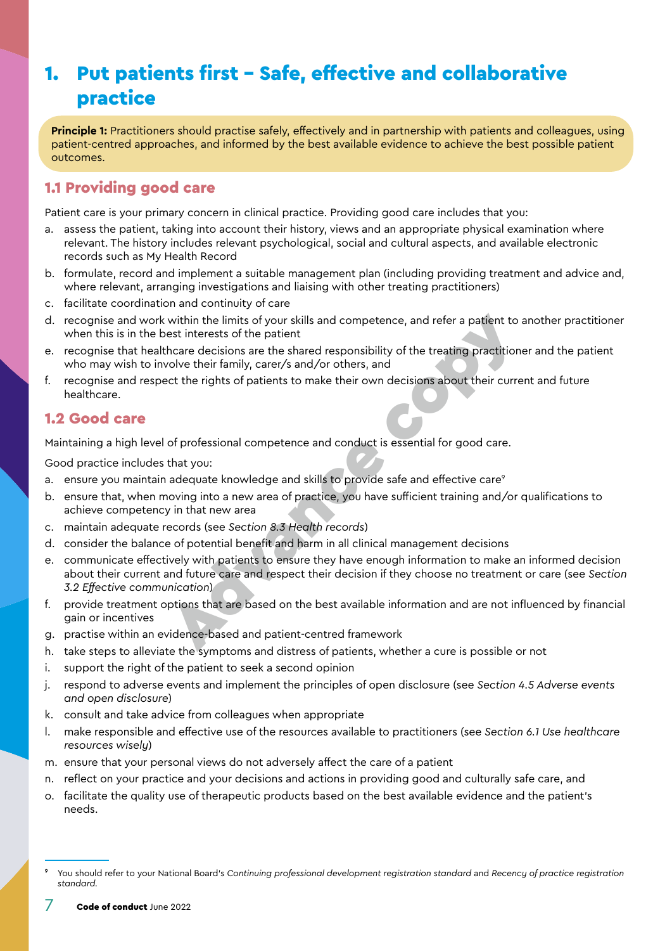# <span id="page-6-0"></span>1. Put patients first – Safe, effective and collaborative practice

**Principle 1:** Practitioners should practise safely, effectively and in partnership with patients and colleagues, using patient-centred approaches, and informed by the best available evidence to achieve the best possible patient outcomes.

### 1.1 Providing good care

Patient care is your primary concern in clinical practice. Providing good care includes that you:

- a. assess the patient, taking into account their history, views and an appropriate physical examination where relevant. The history includes relevant psychological, social and cultural aspects, and available electronic records such as My Health Record
- b. formulate, record and implement a suitable management plan (including providing treatment and advice and, where relevant, arranging investigations and liaising with other treating practitioners)
- c. facilitate coordination and continuity of care
- d. recognise and work within the limits of your skills and competence, and refer a patient to another practitioner when this is in the best interests of the patient
- e. recognise that healthcare decisions are the shared responsibility of the treating practitioner and the patient who may wish to involve their family, carer/s and/or others, and
- f. recognise and respect the rights of patients to make their own decisions about their current and future healthcare.

#### 1.2 Good care

Maintaining a high level of professional competence and conduct is essential for good care.

- a. ensure you maintain adequate knowledge and skills to provide safe and effective care<sup>9</sup>
- b. ensure that, when moving into a new area of practice, you have sufficient training and/or qualifications to achieve competency in that new area
- c. maintain adequate records (see *Section 8.3 Health records*)
- d. consider the balance of potential benefit and harm in all clinical management decisions
- e. communicate effectively with patients to ensure they have enough information to make an informed decision about their current and future care and respect their decision if they choose no treatment or care (see *Section [3.2 Effective communication](#page-9-1)*) within the limits of your skills [an](#page-20-1)d competence, and refer a patient to<br>est interests of the patient<br>thcare decisions are the shared responsibility of the treating practition<br>hcare decisions are the shared responsibility o
- f. provide treatment options that are based on the best available information and are not influenced by financial gain or incentives
- g. practise within an evidence-based and patient-centred framework
- h. take steps to alleviate the symptoms and distress of patients, whether a cure is possible or not
- i. support the right of the patient to seek a second opinion
- j. respond to adverse events and implement the principles of open disclosure (see *Section [4.5 Adverse events](#page-12-1)  [and open disclosure](#page-12-1)*)
- k. consult and take advice from colleagues when appropriate
- l. make responsible and effective use of the resources available to practitioners (see *Section [6.1 Use healthcare](#page-17-1)  [resources wisely](#page-17-1)*)
- m. ensure that your personal views do not adversely affect the care of a patient
- n. reflect on your practice and your decisions and actions in providing good and culturally safe care, and
- o. facilitate the quality use of therapeutic products based on the best available evidence and the patient's needs.

<sup>9</sup> You should refer to your National Board's *Continuing professional development registration standard* and *Recency of practice registration standard.*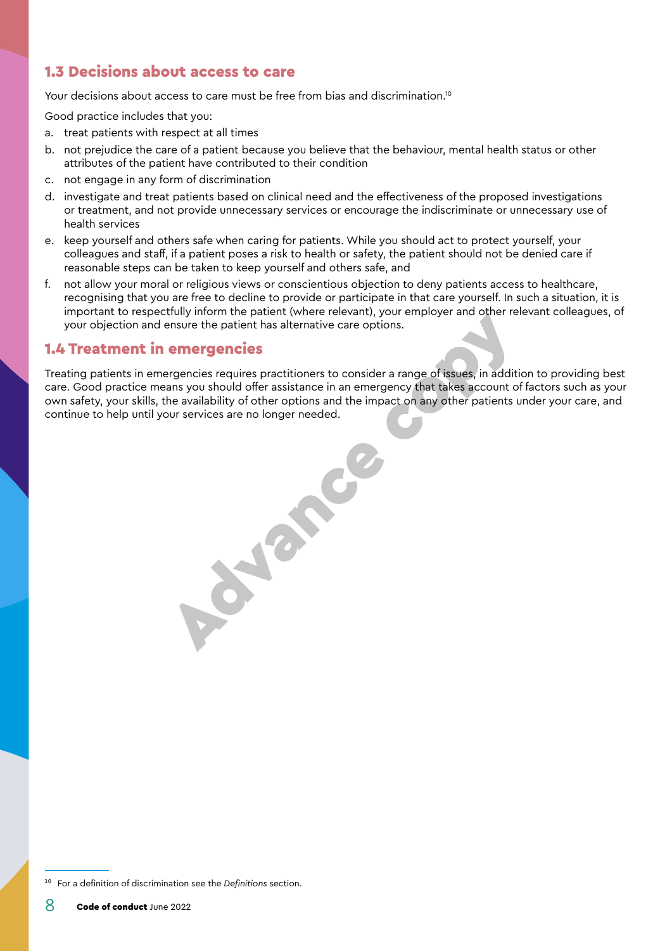#### <span id="page-7-0"></span>1.3 Decisions about access to care

Your decisions about access to care must be free from bias and discrimination.<sup>10</sup>

Good practice includes that you:

- a. treat patients with respect at all times
- b. not prejudice the care of a patient because you believe that the behaviour, mental health status or other attributes of the patient have contributed to their condition
- c. not engage in any form of discrimination
- d. investigate and treat patients based on clinical need and the effectiveness of the proposed investigations or treatment, and not provide unnecessary services or encourage the indiscriminate or unnecessary use of health services
- e. keep yourself and others safe when caring for patients. While you should act to protect yourself, your colleagues and staff, if a patient poses a risk to health or safety, the patient should not be denied care if reasonable steps can be taken to keep yourself and others safe, and
- f. not allow your moral or religious views or conscientious objection to deny patients access to healthcare, recognising that you are free to decline to provide or participate in that care yourself. In such a situation, it is important to respectfully inform the patient (where relevant), your employer and other relevant colleagues, of your objection and ensure the patient has alternative care options.

#### 1.4 Treatment in emergencies

Treating patients in emergencies requires practitioners to consider a range of issues, in addition to providing best care. Good practice means you should offer assistance in an emergency that takes account of factors such as your own safety, your skills, the availability of other options and the impact on any other patients under your care, and continue to help until your services are no longer needed. Advance co

<sup>10</sup> For a definition of discrimination see the *[Definitions](#page-28-0)* section.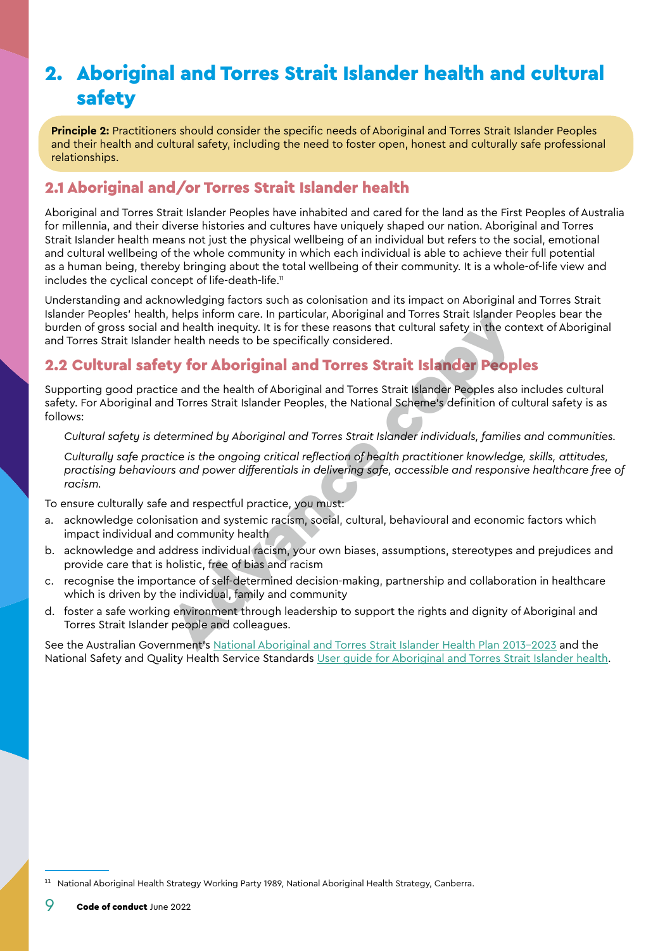# <span id="page-8-1"></span><span id="page-8-0"></span>2. Aboriginal and Torres Strait Islander health and cultural safety

**Principle 2:** Practitioners should consider the specific needs of Aboriginal and Torres Strait Islander Peoples and their health and cultural safety, including the need to foster open, honest and culturally safe professional relationships.

### 2.1 Aboriginal and/or Torres Strait Islander health

Aboriginal and Torres Strait Islander Peoples have inhabited and cared for the land as the First Peoples of Australia for millennia, and their diverse histories and cultures have uniquely shaped our nation. Aboriginal and Torres Strait Islander health means not just the physical wellbeing of an individual but refers to the social, emotional and cultural wellbeing of the whole community in which each individual is able to achieve their full potential as a human being, thereby bringing about the total wellbeing of their community. It is a whole-of-life view and includes the cyclical concept of life-death-life.<sup>11</sup>

Understanding and acknowledging factors such as colonisation and its impact on Aboriginal and Torres Strait Islander Peoples' health, helps inform care. In particular, Aboriginal and Torres Strait Islander Peoples bear the burden of gross social and health inequity. It is for these reasons that cultural safety in the context of Aboriginal and Torres Strait Islander health needs to be specifically considered.

### 2.2 Cultural safety for Aboriginal and Torres Strait Islander Peoples

Supporting good practice and the health of Aboriginal and Torres Strait Islander Peoples also includes cultural safety. For Aboriginal and Torres Strait Islander Peoples, the National Scheme's definition of cultural safety is as follows:

*Cultural safety is determined by Aboriginal and Torres Strait Islander individuals, families and communities.* 

*Culturally safe practice is the ongoing critical reflection of health practitioner knowledge, skills, attitudes, practising behaviours and power differentials in delivering safe, accessible and responsive healthcare free of racism.* , neps inform care. In particular, [A](https://www.health.gov.au/resources/publications/national-aboriginal-and-torres-strait-islander-health-plan-2013-2023)boriginal and Torres Strait Islander People<br>and health inequity. It is for these reasons that cultural safety in the correlath needs to be specifically considered.<br> **ty for Aboriginal an** 

To ensure culturally safe and respectful practice, you must:

- a. acknowledge colonisation and systemic racism, social, cultural, behavioural and economic factors which impact individual and community health
- b. acknowledge and address individual racism, your own biases, assumptions, stereotypes and prejudices and provide care that is holistic, free of bias and racism
- c. recognise the importance of self-determined decision-making, partnership and collaboration in healthcare which is driven by the individual, family and community
- d. foster a safe working environment through leadership to support the rights and dignity of Aboriginal and Torres Strait Islander people and colleagues.

See the Australian Government's National Aboriginal and Torres Strait Islander Health Plan 2013-2023 and the National Safety and Quality Health Service Standards [User guide for Aboriginal and Torres Strait Islander health.](https://www.safetyandquality.gov.au/publications-and-resources/resource-library/nsqhs-standards-user-guide-aboriginal-and-torres-strait-islander-health)

<sup>&</sup>lt;sup>11</sup> National Aboriginal Health Strategy Working Party 1989, National Aboriginal Health Strategy, Canberra.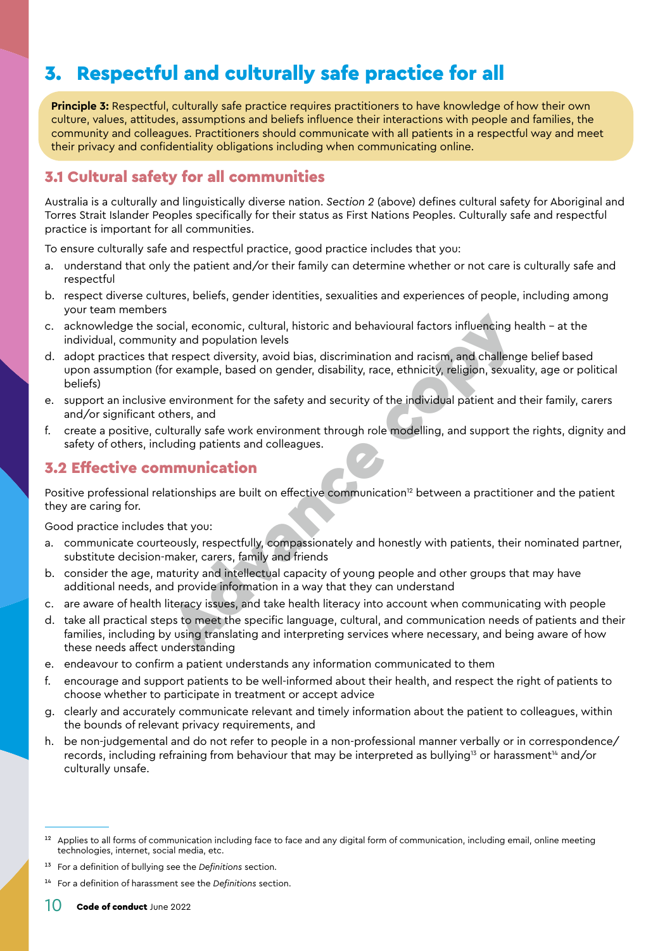# <span id="page-9-2"></span><span id="page-9-0"></span>3. Respectful and culturally safe practice for all

**Principle 3:** Respectful, culturally safe practice requires practitioners to have knowledge of how their own culture, values, attitudes, assumptions and beliefs influence their interactions with people and families, the community and colleagues. Practitioners should communicate with all patients in a respectful way and meet their privacy and confidentiality obligations including when communicating online.

### 3.1 Cultural safety for all communities

Australia is a culturally and linguistically diverse nation. *Section 2* (above) defines cultural safety for Aboriginal and Torres Strait Islander Peoples specifically for their status as First Nations Peoples. Culturally safe and respectful practice is important for all communities.

To ensure culturally safe and respectful practice, good practice includes that you:

- a. understand that only the patient and/or their family can determine whether or not care is culturally safe and respectful
- b. respect diverse cultures, beliefs, gender identities, sexualities and experiences of people, including among your team members
- c. acknowledge the social, economic, cultural, historic and behavioural factors influencing health at the individual, community and population levels
- d. adopt practices that respect diversity, avoid bias, discrimination and racism, and challenge belief based upon assumption (for example, based on gender, disability, race, ethnicity, religion, sexuality, age or political beliefs) ional, economic, cultural, historic and behavioural factors influencing hty and population levels<br>trespect diversity, avoid bias, discrimination and racism, and challeng<br>or example, based on gender, disability, race, ethni
- e. support an inclusive environment for the safety and security of the individual patient and their family, carers and/or significant others, and
- f. create a positive, culturally safe work environment through role modelling, and support the rights, dignity and safety of others, including patients and colleagues.

#### <span id="page-9-1"></span>3.2 Effective communication

Positive professional relationships are built on effective communication<sup>12</sup> between a practitioner and the patient they are caring for.

- a. communicate courteously, respectfully, compassionately and honestly with patients, their nominated partner, substitute decision-maker, carers, family and friends
- b. consider the age, maturity and intellectual capacity of young people and other groups that may have additional needs, and provide information in a way that they can understand
- c. are aware of health literacy issues, and take health literacy into account when communicating with people
- d. take all practical steps to meet the specific language, cultural, and communication needs of patients and their families, including by using translating and interpreting services where necessary, and being aware of how these needs affect understanding
- e. endeavour to confirm a patient understands any information communicated to them
- f. encourage and support patients to be well-informed about their health, and respect the right of patients to choose whether to participate in treatment or accept advice
- g. clearly and accurately communicate relevant and timely information about the patient to colleagues, within the bounds of relevant privacy requirements, and
- h. be non-judgemental and do not refer to people in a non-professional manner verbally or in correspondence/ records, including refraining from behaviour that may be interpreted as bullying<sup>13</sup> or harassment<sup>14</sup> and/or culturally unsafe.

<sup>&</sup>lt;sup>12</sup> Applies to all forms of communication including face to face and any digital form of communication, including email, online meeting technologies, internet, social media, etc.

<sup>13</sup> For a definition of bullying see the *[Definitions](#page-28-0)* section.

<sup>14</sup> For a definition of harassment see the *[Definitions](#page-28-0)* section.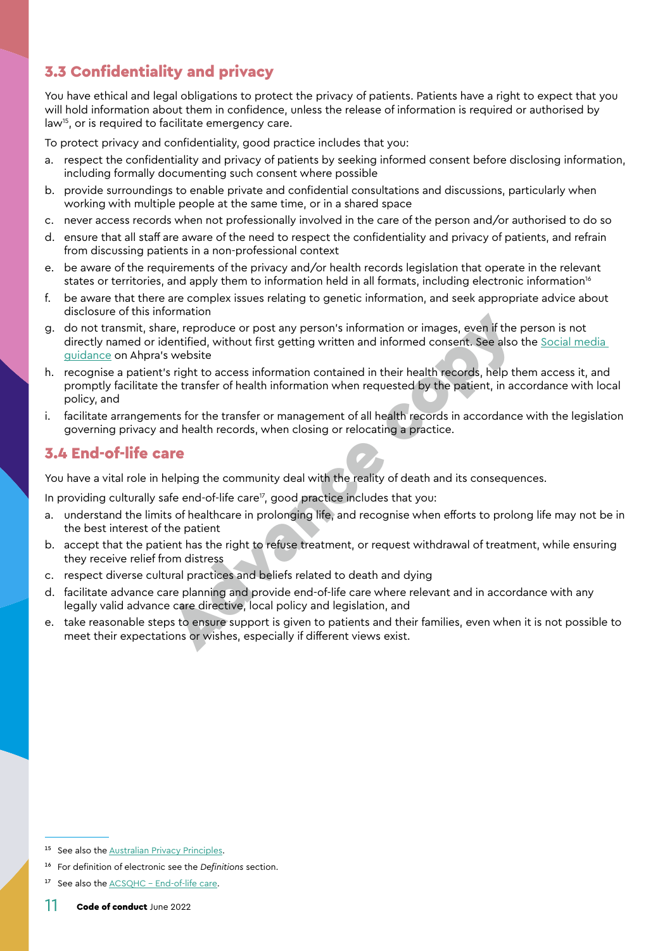### <span id="page-10-0"></span>3.3 Confidentiality and privacy

You have ethical and legal obligations to protect the privacy of patients. Patients have a right to expect that you will hold information about them in confidence, unless the release of information is required or authorised by law<sup>15</sup>, or is required to facilitate emergency care.

To protect privacy and confidentiality, good practice includes that you:

- a. respect the confidentiality and privacy of patients by seeking informed consent before disclosing information, including formally documenting such consent where possible
- b. provide surroundings to enable private and confidential consultations and discussions, particularly when working with multiple people at the same time, or in a shared space
- never access records when not professionally involved in the care of the person and/or authorised to do so
- d. ensure that all staff are aware of the need to respect the confidentiality and privacy of patients, and refrain from discussing patients in a non-professional context
- e. be aware of the requirements of the privacy and/or health records legislation that operate in the relevant states or territories, and apply them to information held in all formats, including electronic information<sup>16</sup>
- f. be aware that there are complex issues relating to genetic information, and seek appropriate advice about disclosure of this information
- g. do not transmit, share, reproduce or post any person's information or images, even if the person is not directly named or identified, without first getting written and informed consent. See also the [Social media](https://www.ahpra.gov.au/Publications/Social-media-guidance.aspx)  [guidance](https://www.ahpra.gov.au/Publications/Social-media-guidance.aspx) on Ahpra's website
- h. recognise a patient's right to access information contained in their health records, help them access it, and promptly facilitate the transfer of health information when requested by the patient, in accordance with local policy, and onlation<br>one, reproduce or post any person's information or images, even if the<br>lentified, without first getting written and informed consent. See also<br>s website<br>s right to access information contained in their health reco
- i. facilitate arrangements for the transfer or management of all health records in accordance with the legislation governing privacy and health records, when closing or relocating a practice.

#### 3.4 End-of-life care

You have a vital role in helping the community deal with the reality of death and its consequences.

In providing culturally safe end-of-life care<sup> $\sigma$ </sup>, good practice includes that you:

- a. understand the limits of healthcare in prolonging life, and recognise when efforts to prolong life may not be in the best interest of the patient
- b. accept that the patient has the right to refuse treatment, or request withdrawal of treatment, while ensuring they receive relief from distress
- c. respect diverse cultural practices and beliefs related to death and dying
- d. facilitate advance care planning and provide end-of-life care where relevant and in accordance with any legally valid advance care directive, local policy and legislation, and
- e. take reasonable steps to ensure support is given to patients and their families, even when it is not possible to meet their expectations or wishes, especially if different views exist.

<sup>&</sup>lt;sup>15</sup> See also the **Australian Privacy Principles**.

<sup>16</sup> For definition of electronic see the *[Definitions](#page-28-0)* section.

<sup>&</sup>lt;sup>17</sup> See also the [ACSQHC - End-of-life care](https://www.safetyandquality.gov.au/our-work/end-of-life-care-in-acute-hospitals/).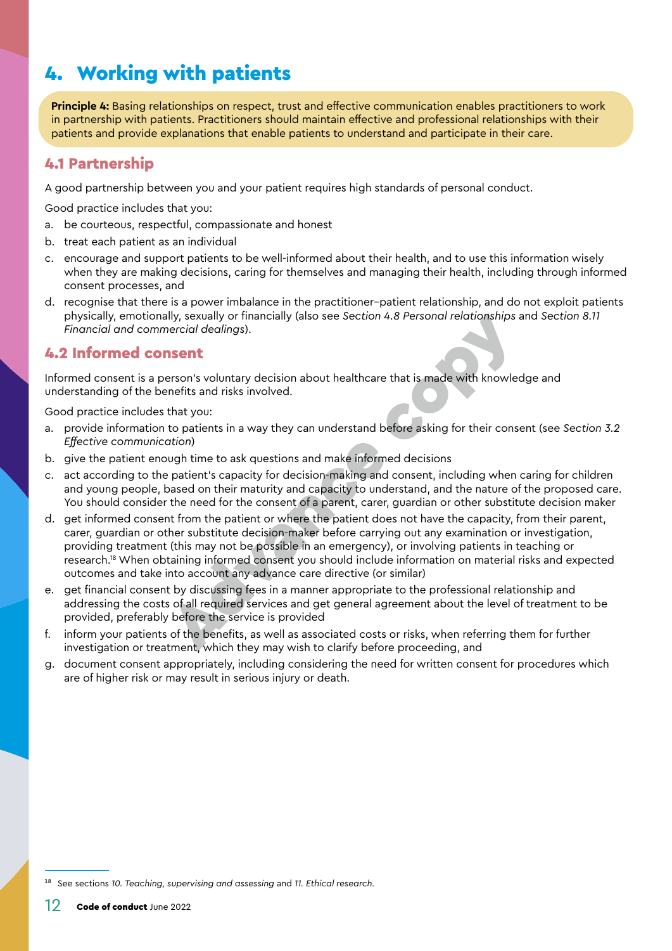# <span id="page-11-0"></span>4. Working with patients

**Principle 4:** Basing relationships on respect, trust and effective communication enables practitioners to work in partnership with patients. Practitioners should maintain effective and professional relationships with their patients and provide explanations that enable patients to understand and participate in their care.

#### 4.1 Partnership

A good partnership between you and your patient requires high standards of personal conduct.

Good practice includes that you:

- a. be courteous, respectful, compassionate and honest
- b. treat each patient as an individual
- c. encourage and support patients to be well-informed about their health, and to use this information wisely when they are making decisions, caring for themselves and managing their health, including through informed consent processes, and
- d. recognise that there is a power imbalance in the practitioner–patient relationship, and do not exploit patients physically, emotionally, sexually or financially (also see *Section [4.8 Personal relationships](#page-13-1)* and *Section [8.11](#page-23-1)  [Financial and commercial dealings](#page-23-1)*).

#### 4.2 Informed consent

Informed consent is a person's voluntary decision about healthcare that is made with knowledge and understanding of the benefits and risks involved.

- a. provide information to patients in a way they can understand before asking for their consent (see *Section [3.2](#page-9-1)  [Effective communication](#page-9-1)*)
- b. give the patient enough time to ask questions and make informed decisions
- c. act according to the patient's capacity for decision-making and consent, including when caring for children and young people, based on their maturity and capacity to understand, and the nature of the proposed care. You should consider the need for the consent of a parent, carer, guardian or other substitute decision maker
- d. get informed consent from the patient or where the patient does not have the capacity, from their parent, carer, guardian or other substitute decision-maker before carrying out any examination or investigation, providing treatment (this may not be possible in an emergency), or involving patients in teaching or research.18 When obtaining informed consent you should include information on material risks and expected outcomes and take into account any advance care directive (or similar) ally, sexually or financially (also see Section 4.8 Personal relationships a<br>percial dealings).<br> **nsent**<br>
erson's voluntary decision about healthcare that is made with knowled<br>
that you:<br>
to patients in a way they can unde
- e. get financial consent by discussing fees in a manner appropriate to the professional relationship and addressing the costs of all required services and get general agreement about the level of treatment to be provided, preferably before the service is provided
- f. inform your patients of the benefits, as well as associated costs or risks, when referring them for further investigation or treatment, which they may wish to clarify before proceeding, and
- g. document consent appropriately, including considering the need for written consent for procedures which are of higher risk or may result in serious injury or death.

<sup>18</sup> See sections *[10. Teaching, supervising and assessing](#page-25-1)* and *[11. Ethical research.](#page-26-1)*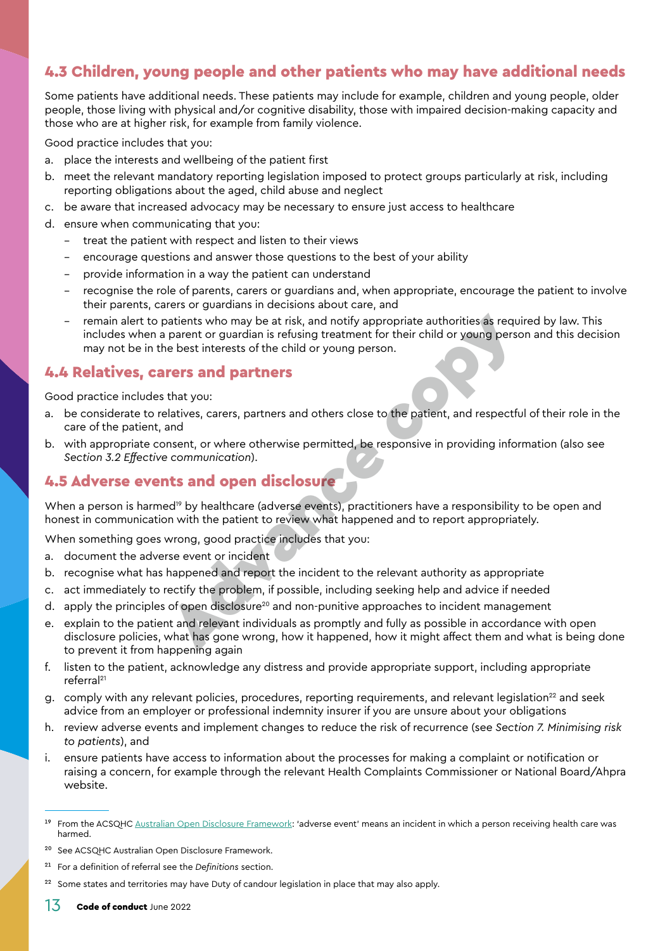#### <span id="page-12-0"></span>4.3 Children, young people and other patients who may have additional needs

Some patients have additional needs. These patients may include for example, children and young people, older people, those living with physical and/or cognitive disability, those with impaired decision-making capacity and those who are at higher risk, for example from family violence.

Good practice includes that you:

- a. place the interests and wellbeing of the patient first
- b. meet the relevant mandatory reporting legislation imposed to protect groups particularly at risk, including reporting obligations about the aged, child abuse and neglect
- c. be aware that increased advocacy may be necessary to ensure just access to healthcare
- d. ensure when communicating that you:
	- treat the patient with respect and listen to their views
	- encourage questions and answer those questions to the best of your ability
	- provide information in a way the patient can understand
	- recognise the role of parents, carers or guardians and, when appropriate, encourage the patient to involve their parents, carers or guardians in decisions about care, and
	- remain alert to patients who may be at risk, and notify appropriate authorities as required by law. This includes when a parent or guardian is refusing treatment for their child or young person and this decision may not be in the best interests of the child or young person. parameter of gasterial and neticle and notify appropriate authorities as requested or yound parameter of the child or young person.<br> **For Sand partners**<br> **Advance continuests**<br> **Advance constant and partners**<br> **Advance con**

#### 4.4 Relatives, carers and partners

Good practice includes that you:

- a. be considerate to relatives, carers, partners and others close to the patient, and respectful of their role in the care of the patient, and
- b. with appropriate consent, or where otherwise permitted, be responsive in providing information (also see *Section [3.2 Effective communication](#page-9-1)*).

### <span id="page-12-1"></span>4.5 Adverse events and open disclosure

When a person is harmed<sup>19</sup> by healthcare (adverse events), practitioners have a responsibility to be open and honest in communication with the patient to review what happened and to report appropriately.

When something goes wrong, good practice includes that you:

- a. document the adverse event or incident
- b. recognise what has happened and report the incident to the relevant authority as appropriate
- c. act immediately to rectify the problem, if possible, including seeking help and advice if needed
- d. apply the principles of open disclosure<sup>20</sup> and non-punitive approaches to incident management
- e. explain to the patient and relevant individuals as promptly and fully as possible in accordance with open disclosure policies, what has gone wrong, how it happened, how it might affect them and what is being done to prevent it from happening again
- f. listen to the patient, acknowledge any distress and provide appropriate support, including appropriate referral21
- g. comply with any relevant policies, procedures, reporting requirements, and relevant legislation<sup>22</sup> and seek advice from an employer or professional indemnity insurer if you are unsure about your obligations
- h. review adverse events and implement changes to reduce the risk of recurrence (see *Section [7. Minimising risk](#page-18-1)  [to patients](#page-18-1)*), and
- i. ensure patients have access to information about the processes for making a complaint or notification or raising a concern, for example through the relevant Health Complaints Commissioner or National Board/Ahpra website.

21 For a definition of referral see the *[Definitions](#page-28-0)* section.

<sup>&</sup>lt;sup>19</sup> From the ACSQHC [Australian Open Disclosure Framework:](https://www.safetyandquality.gov.au/our-work/open-disclosure/the-open-disclosure-framework) 'adverse event' means an incident in which a person receiving health care was harmed.

<sup>20</sup> See ACSQHC Australian Open Disclosure Framework.

<sup>&</sup>lt;sup>22</sup> Some states and territories may have Duty of candour legislation in place that may also apply.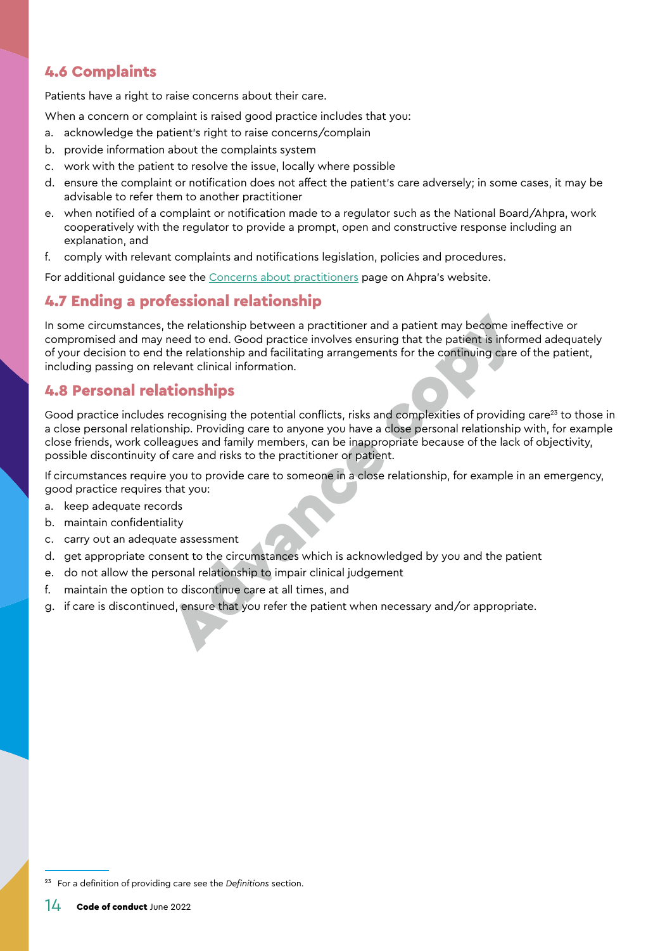### <span id="page-13-0"></span>4.6 Complaints

Patients have a right to raise concerns about their care.

When a concern or complaint is raised good practice includes that you:

- a. acknowledge the patient's right to raise concerns/complain
- b. provide information about the complaints system
- c. work with the patient to resolve the issue, locally where possible
- d. ensure the complaint or notification does not affect the patient's care adversely; in some cases, it may be advisable to refer them to another practitioner
- e. when notified of a complaint or notification made to a regulator such as the National Board/Ahpra, work cooperatively with the regulator to provide a prompt, open and constructive response including an explanation, and
- f. comply with relevant complaints and notifications legislation, policies and procedures.

For additional guidance see the [Concerns about practitioners](https://www.ahpra.gov.au/Notifications.aspx) page on Ahpra's website.

### 4.7 Ending a professional relationship

In some circumstances, the relationship between a practitioner and a patient may become ineffective or compromised and may need to end. Good practice involves ensuring that the patient is informed adequately of your decision to end the relationship and facilitating arrangements for the continuing care of the patient, including passing on relevant clinical information. the relationship between a practitioner and a patient may become in<br>need to end. Good practice involves ensuring that the patient is inform<br>the relationship and facilitating arrangements for the continuing care<br>evant clini

#### <span id="page-13-1"></span>4.8 Personal relationships

Good practice includes recognising the potential conflicts, risks and complexities of providing care<sup>23</sup> to those in a close personal relationship. Providing care to anyone you have a close personal relationship with, for example close friends, work colleagues and family members, can be inappropriate because of the lack of objectivity, possible discontinuity of care and risks to the practitioner or patient.

If circumstances require you to provide care to someone in a close relationship, for example in an emergency, good practice requires that you:

- a. keep adequate records
- b. maintain confidentiality
- c. carry out an adequate assessment
- d. get appropriate consent to the circumstances which is acknowledged by you and the patient
- e. do not allow the personal relationship to impair clinical judgement
- f. maintain the option to discontinue care at all times, and
- g. if care is discontinued, ensure that you refer the patient when necessary and/or appropriate.

<sup>23</sup> For a definition of providing care see the *[Definitions](#page-28-0)* section.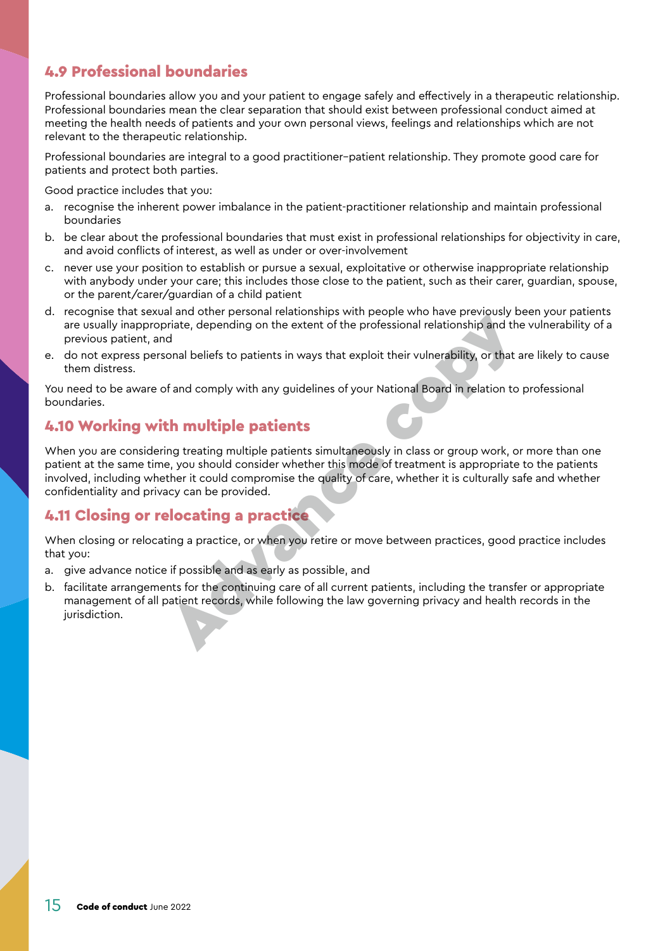### <span id="page-14-0"></span>4.9 Professional boundaries

Professional boundaries allow you and your patient to engage safely and effectively in a therapeutic relationship. Professional boundaries mean the clear separation that should exist between professional conduct aimed at meeting the health needs of patients and your own personal views, feelings and relationships which are not relevant to the therapeutic relationship.

Professional boundaries are integral to a good practitioner–patient relationship. They promote good care for patients and protect both parties.

Good practice includes that you:

- a. recognise the inherent power imbalance in the patient-practitioner relationship and maintain professional boundaries
- b. be clear about the professional boundaries that must exist in professional relationships for objectivity in care, and avoid conflicts of interest, as well as under or over-involvement
- c. never use your position to establish or pursue a sexual, exploitative or otherwise inappropriate relationship with anybody under your care; this includes those close to the patient, such as their carer, guardian, spouse, or the parent/carer/guardian of a child patient
- d. recognise that sexual and other personal relationships with people who have previously been your patients are usually inappropriate, depending on the extent of the professional relationship and the vulnerability of a previous patient, and
- e. do not express personal beliefs to patients in ways that exploit their vulnerability, or that are likely to cause them distress.

You need to be aware of and comply with any guidelines of your National Board in relation to professional boundaries.

#### 4.10 Working with multiple patients

When you are considering treating multiple patients simultaneously in class or group work, or more than one patient at the same time, you should consider whether this mode of treatment is appropriate to the patients involved, including whether it could compromise the quality of care, whether it is culturally safe and whether confidentiality and privacy can be provided. Exergence transformation and other personal relationships with proposition and other processional relationship and the provious patient, and<br>the provious patient, and<br>the m distinss, personal beliefs to patients in ways th

#### 4.11 Closing or relocating a practice

When closing or relocating a practice, or when you retire or move between practices, good practice includes that you:

- a. give advance notice if possible and as early as possible, and
- b. facilitate arrangements for the continuing care of all current patients, including the transfer or appropriate management of all patient records, while following the law governing privacy and health records in the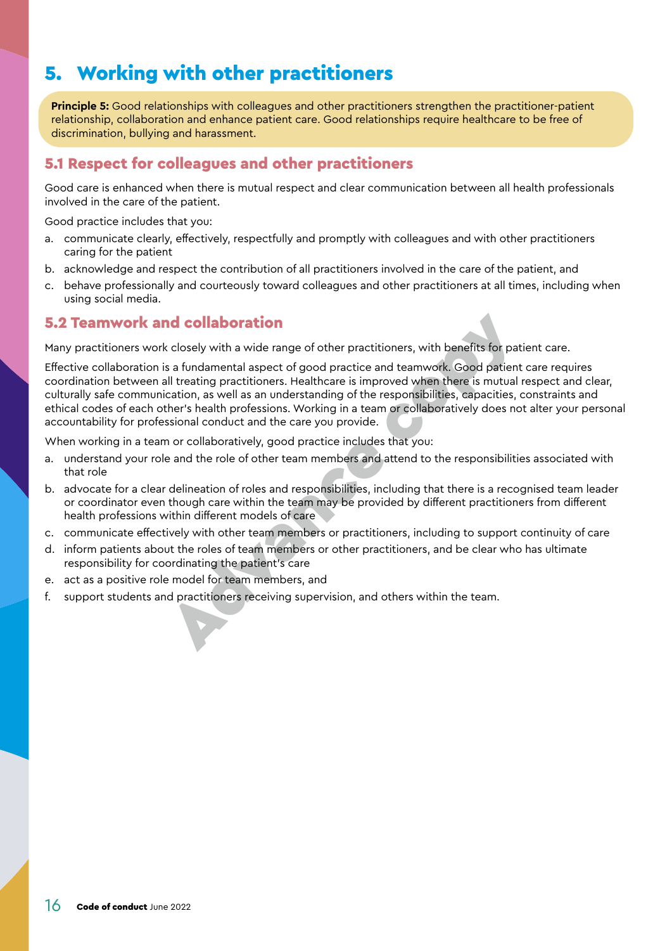# <span id="page-15-0"></span>5. Working with other practitioners

**Principle 5:** Good relationships with colleagues and other practitioners strengthen the practitioner-patient relationship, collaboration and enhance patient care. Good relationships require healthcare to be free of discrimination, bullying and harassment.

#### 5.1 Respect for colleagues and other practitioners

Good care is enhanced when there is mutual respect and clear communication between all health professionals involved in the care of the patient.

Good practice includes that you:

- a. communicate clearly, effectively, respectfully and promptly with colleagues and with other practitioners caring for the patient
- b. acknowledge and respect the contribution of all practitioners involved in the care of the patient, and
- c. behave professionally and courteously toward colleagues and other practitioners at all times, including when using social media.

#### 5.2 Teamwork and collaboration

Many practitioners work closely with a wide range of other practitioners, with benefits for patient care.

Effective collaboration is a fundamental aspect of good practice and teamwork. Good patient care requires coordination between all treating practitioners. Healthcare is improved when there is mutual respect and clear, culturally safe communication, as well as an understanding of the responsibilities, capacities, constraints and ethical codes of each other's health professions. Working in a team or collaboratively does not alter your personal accountability for professional conduct and the care you provide. **5.2 Teamwork and collaboration**<br>
Many practitioners work closely with a wide range of other practitioners, with benefits for pat<br>
Effective collaboration is a fundamental aspect of good practice and teamwork. Good patien

When working in a team or collaboratively, good practice includes that you:

- understand your role and the role of other team members and attend to the responsibilities associated with that role
- b. advocate for a clear delineation of roles and responsibilities, including that there is a recognised team leader or coordinator even though care within the team may be provided by different practitioners from different health professions within different models of care
- c. communicate effectively with other team members or practitioners, including to support continuity of care
- d. inform patients about the roles of team members or other practitioners, and be clear who has ultimate responsibility for coordinating the patient's care
- e. act as a positive role model for team members, and
-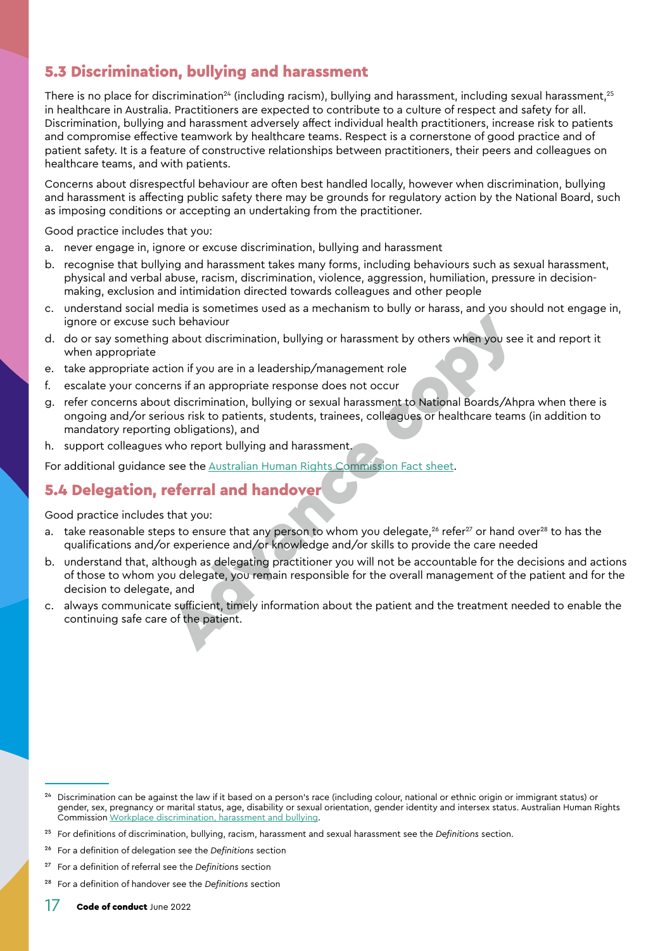### <span id="page-16-0"></span>5.3 Discrimination, bullying and harassment

There is no place for discrimination<sup>24</sup> (including racism), bullying and harassment, including sexual harassment,<sup>25</sup> in healthcare in Australia. Practitioners are expected to contribute to a culture of respect and safety for all. Discrimination, bullying and harassment adversely affect individual health practitioners, increase risk to patients and compromise effective teamwork by healthcare teams. Respect is a cornerstone of good practice and of patient safety. It is a feature of constructive relationships between practitioners, their peers and colleagues on healthcare teams, and with patients.

Concerns about disrespectful behaviour are often best handled locally, however when discrimination, bullying and harassment is affecting public safety there may be grounds for regulatory action by the National Board, such as imposing conditions or accepting an undertaking from the practitioner.

Good practice includes that you:

- a. never engage in, ignore or excuse discrimination, bullying and harassment
- b. recognise that bullying and harassment takes many forms, including behaviours such as sexual harassment, physical and verbal abuse, racism, discrimination, violence, aggression, humiliation, pressure in decisionmaking, exclusion and intimidation directed towards colleagues and other people
- c. understand social media is sometimes used as a mechanism to bully or harass, and you should not engage in, ignore or excuse such behaviour
- d. do or say something about discrimination, bullying or harassment by others when you see it and report it when appropriate
- e. take appropriate action if you are in a leadership/management role
- f. escalate your concerns if an appropriate response does not occur
- g. refer concerns about discrimination, bullying or sexual harassment to National Boards/Ahpra when there is ongoing and/or serious risk to patients, students, trainees, colleagues or healthcare teams (in addition to mandatory reporting obligations), and
- h. support colleagues who report bullying and harassment.

For additional guidance see the Australian Human Rights Commission Fact sheet.

#### 5.4 Delegation, referral and handover

- take reasonable steps to ensure that any person to whom you delegate, $26$  refer $27$  or hand over $28$  to has the qualifications and/or experience and/or knowledge and/or skills to provide the care needed
- b. understand that, although as delegating practitioner you will not be accountable for the decisions and actions of those to whom you delegate, you remain responsible for the overall management of the patient and for the decision to delegate, and the behaviour<br>
a about discrimination, bullying or harassment by others when you see<br>
tion if you are in a leadership/management role<br>
rms if an appropriate response does not occur<br>
arms if an appropriate response does not
- c. always communicate sufficient, timely information about the patient and the treatment needed to enable the continuing safe care of the patient.

<sup>24</sup> Discrimination can be against the law if it based on a person's race (including colour, national or ethnic origin or immigrant status) or gender, sex, pregnancy or marital status, age, disability or sexual orientation, gender identity and intersex status. Australian Human Rights Commission [Workplace discrimination, harassment and bullying.](https://humanrights.gov.au/our-work/employers/workplace-discrimination-harassment-and-bullying)

<sup>25</sup> For definitions of discrimination, bullying, racism, harassment and sexual harassment see the *[Definitions](#page-28-0)* section.

<sup>26</sup> For a definition of delegation see the *[Definitions](#page-28-0)* section

<sup>27</sup> For a definition of referral see the *[Definitions](#page-28-0)* section

<sup>28</sup> For a definition of handover see the *[Definitions](#page-28-0)* section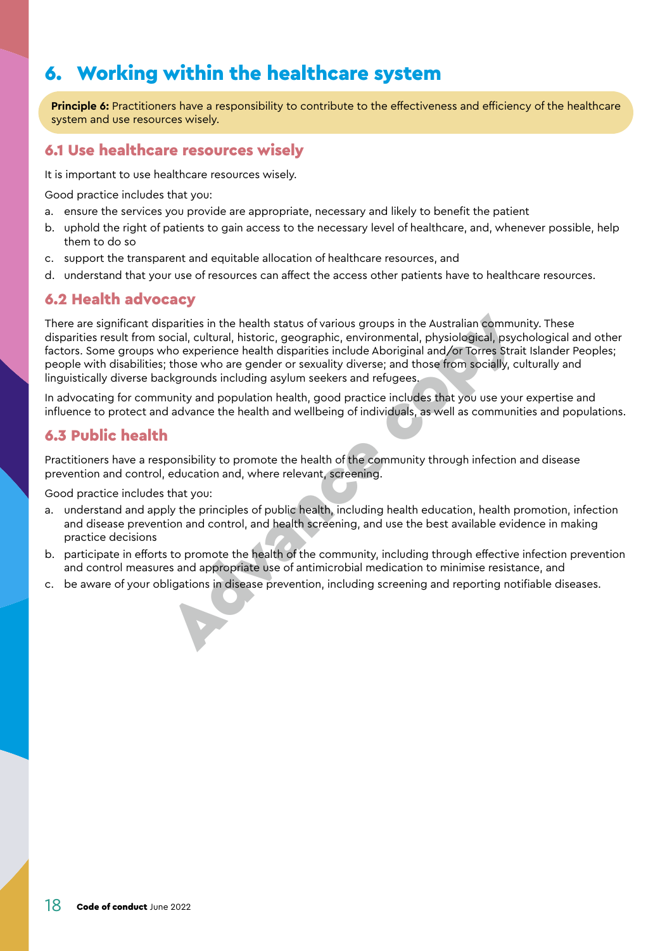# <span id="page-17-0"></span>6. Working within the healthcare system

**Principle 6:** Practitioners have a responsibility to contribute to the effectiveness and efficiency of the healthcare system and use resources wisely.

#### <span id="page-17-1"></span>6.1 Use healthcare resources wisely

It is important to use healthcare resources wisely.

Good practice includes that you:

- a. ensure the services you provide are appropriate, necessary and likely to benefit the patient
- b. uphold the right of patients to gain access to the necessary level of healthcare, and, whenever possible, help them to do so
- c. support the transparent and equitable allocation of healthcare resources, and
- d. understand that your use of resources can affect the access other patients have to healthcare resources.

#### 6.2 Health advocacy

There are significant disparities in the health status of various groups in the Australian community. These disparities result from social, cultural, historic, geographic, environmental, physiological, psychological and other factors. Some groups who experience health disparities include Aboriginal and/or Torres Strait Islander Peoples; people with disabilities; those who are gender or sexuality diverse; and those from socially, culturally and linguistically diverse backgrounds including asylum seekers and refugees. There are significant disparities in the health status of various groups in the Australian community. These disparities result from social, cultural, historic, geographic, environmental, physiological, psychological and di

In advocating for community and population health, good practice includes that you use your expertise and influence to protect and advance the health and wellbeing of individuals, as well as communities and populations.

#### 6.3 Public health

Practitioners have a responsibility to promote the health of the community through infection and disease prevention and control, education and, where relevant, screening.

- a. understand and apply the principles of public health, including health education, health promotion, infection and disease prevention and control, and health screening, and use the best available evidence in making practice decisions
- b. participate in efforts to promote the health of the community, including through effective infection prevention and control measures and appropriate use of antimicrobial medication to minimise resistance, and
-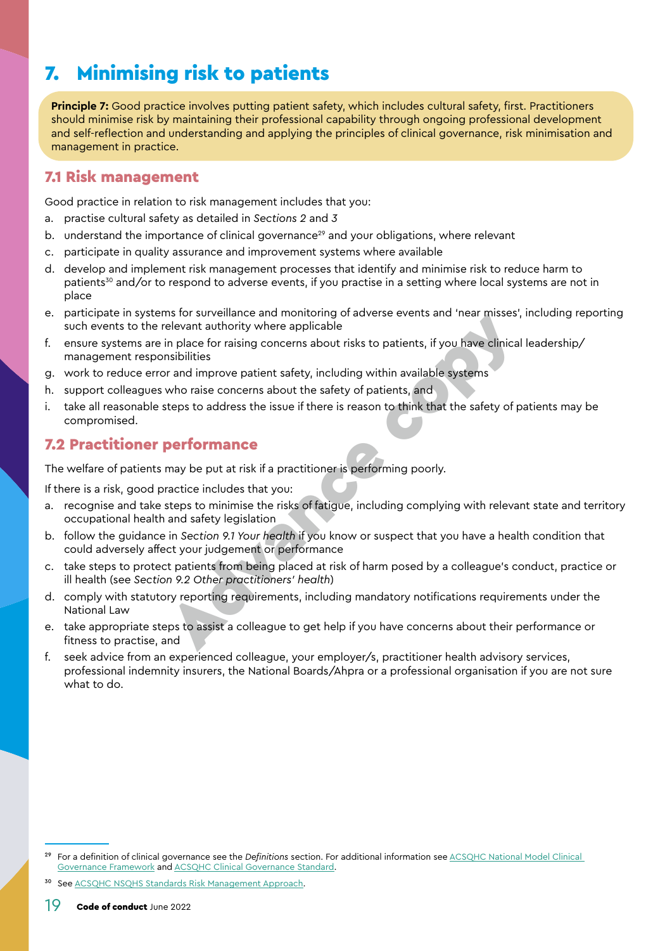# <span id="page-18-1"></span><span id="page-18-0"></span>7. Minimising risk to patients

**Principle 7:** Good practice involves putting patient safety, which includes cultural safety, first. Practitioners should minimise risk by maintaining their professional capability through ongoing professional development and self-reflection and understanding and applying the principles of clinical governance, risk minimisation and management in practice.

#### 7.1 Risk management

Good practice in relation to risk management includes that you:

- a. practise cultural safety as detailed in *Sections [2](#page-8-1)* and *[3](#page-9-2)*
- b. understand the importance of clinical governance<sup>29</sup> and your obligations, where relevant
- participate in quality assurance and improvement systems where available
- d. develop and implement risk management processes that identify and minimise risk to reduce harm to patients<sup>30</sup> and/or to respond to adverse events, if you practise in a setting where local systems are not in place
- e. participate in systems for surveillance and monitoring of adverse events and 'near misses', including reporting such events to the relevant authority where applicable
- f. ensure systems are in place for raising concerns about risks to patients, if you have clinical leadership/ management responsibilities
- g. work to reduce error and improve patient safety, including within available systems
- h. support colleagues who raise concerns about the safety of patients, and
- i. take all reasonable steps to address the issue if there is reason to think that the safety of patients may be compromised.

#### 7.2 Practitioner performance

The welfare of patients may be put at risk if a practitioner is performing poorly.

If there is a risk, good practice includes that you:

- recognise and take steps to minimise the risks of fatigue, including complying with relevant state and territory occupational health and safety legislation Is on sovemance and monitomy or a[dv](#page-24-2)erse events [an](#page-24-1)d heat misses,<br>lelevant authority where applicable<br>in place for raising concerns about trisks to patients, if you have clinical<br>sibilities<br>rand improve patient safety, inclu
- b. follow the guidance in *Section 9.1 Your health* if you know or suspect that you have a health condition that could adversely affect your judgement or performance
- c. take steps to protect patients from being placed at risk of harm posed by a colleague's conduct, practice or ill health (see *Section 9.2 Other practitioners' health*)
- d. comply with statutory reporting requirements, including mandatory notifications requirements under the National Law
- e. take appropriate steps to assist a colleague to get help if you have concerns about their performance or fitness to practise, and
- f. seek advice from an experienced colleague, your employer/s, practitioner health advisory services, professional indemnity insurers, the National Boards/Ahpra or a professional organisation if you are not sure what to do.

See [ACSQHC NSQHS Standards Risk Management Approach.](https://www.safetyandquality.gov.au/publications-and-resources/resource-library/nsqhs-standards-risk-management-approach)

<sup>29</sup> For a definition of clinical governance see the *[Definitions](#page-28-0)* section. For additional information see [ACSQHC National Model Clinical](https://www.safetyandquality.gov.au/topic/national-model-clinical-governance-framework)  [Governance Framework](https://www.safetyandquality.gov.au/topic/national-model-clinical-governance-framework) and **ACSQHC Clinical Governance Standard**.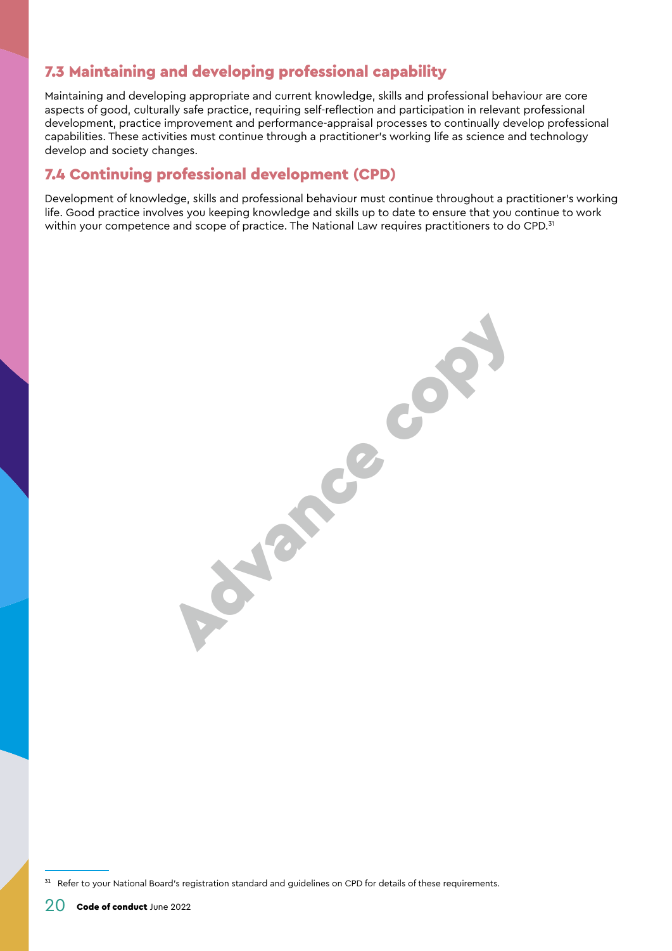### <span id="page-19-0"></span>7.3 Maintaining and developing professional capability

Maintaining and developing appropriate and current knowledge, skills and professional behaviour are core aspects of good, culturally safe practice, requiring self-reflection and participation in relevant professional development, practice improvement and performance-appraisal processes to continually develop professional capabilities. These activities must continue through a practitioner's working life as science and technology develop and society changes.

#### 7.4 Continuing professional development (CPD)

Development of knowledge, skills and professional behaviour must continue throughout a practitioner's working life. Good practice involves you keeping knowledge and skills up to date to ensure that you continue to work within your competence and scope of practice. The National Law requires practitioners to do CPD.<sup>31</sup>

**Adams** con

<sup>&</sup>lt;sup>31</sup> Refer to your National Board's registration standard and guidelines on CPD for details of these requirements.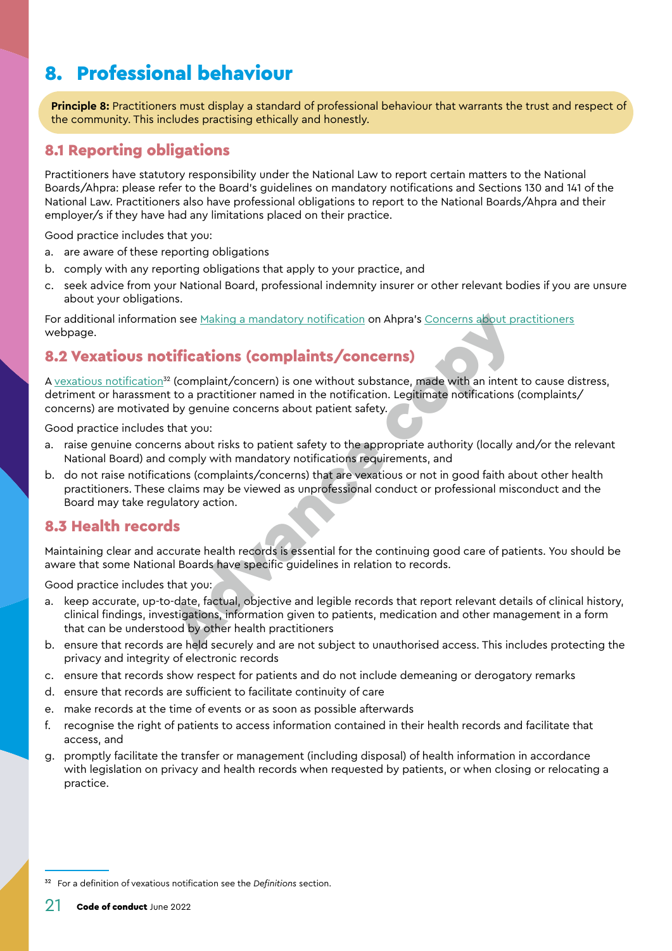# <span id="page-20-0"></span>8. Professional behaviour

**Principle 8:** Practitioners must display a standard of professional behaviour that warrants the trust and respect of the community. This includes practising ethically and honestly.

#### 8.1 Reporting obligations

Practitioners have statutory responsibility under the National Law to report certain matters to the National Boards/Ahpra: please refer to the Board's guidelines on mandatory notifications and Sections 130 and 141 of the National Law. Practitioners also have professional obligations to report to the National Boards/Ahpra and their employer/s if they have had any limitations placed on their practice.

Good practice includes that you:

- a. are aware of these reporting obligations
- b. comply with any reporting obligations that apply to your practice, and
- c. seek advice from your National Board, professional indemnity insurer or other relevant bodies if you are unsure about your obligations.

For additional information see Making a mandatory notification on Ahpra's [Concerns about practitioners](https://www.ahpra.gov.au/Notifications.aspx) webpage.

### 8.2 Vexatious notifications (complaints/concerns)

A vexatious notification<sup>32</sup> (complaint/concern) is one without substance, made with an intent to cause distress, detriment or harassment to a practitioner named in the notification. Legitimate notifications (complaints/ concerns) are motivated by genuine concerns about patient safety.

Good practice includes that you:

- a. raise genuine concerns about risks to patient safety to the appropriate authority (locally and/or the relevant National Board) and comply with mandatory notifications requirements, and
- b. do not raise notifications (complaints/concerns) that are vexatious or not in good faith about other health practitioners. These claims may be viewed as unprofessional conduct or professional misconduct and the Board may take regulatory action.

#### <span id="page-20-1"></span>8.3 Health records

Maintaining clear and accurate health records is essential for the continuing good care of patients. You should be aware that some National Boards have specific guidelines in relation to records.

- keep accurate, up-to-date, factual, objective and legible records that report relevant details of clinical history, clinical findings, investigations, information given to patients, medication and other management in a form that can be understood by other health practitioners on see Making a mandatory notification on Ahpra's Concerns about provided and the proplaint of the complaints of the complaints of the proplaint (somewhile and the specifications (<br>
The complaint (somewhile and in the noti
- b. ensure that records are held securely and are not subject to unauthorised access. This includes protecting the privacy and integrity of electronic records
- c. ensure that records show respect for patients and do not include demeaning or derogatory remarks
- d. ensure that records are sufficient to facilitate continuity of care
- e. make records at the time of events or as soon as possible afterwards
- f. recognise the right of patients to access information contained in their health records and facilitate that access, and
- g. promptly facilitate the transfer or management (including disposal) of health information in accordance with legislation on privacy and health records when requested by patients, or when closing or relocating a practice.

<sup>32</sup> For a definition of vexatious notification see the *[Definitions](#page-28-0)* section.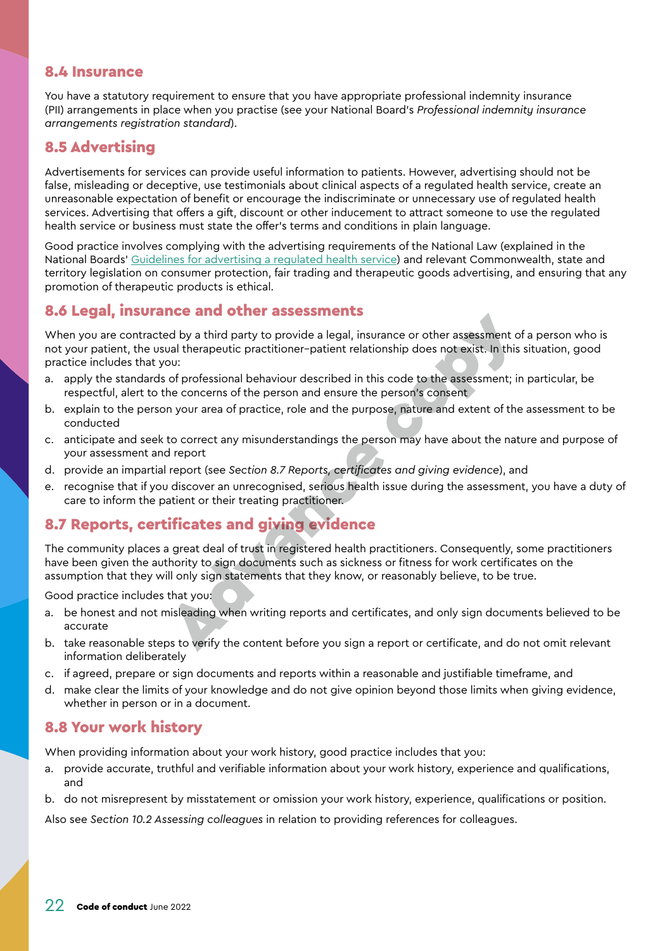#### <span id="page-21-0"></span>8.4 Insurance

You have a statutory requirement to ensure that you have appropriate professional indemnity insurance (PII) arrangements in place when you practise (see your National Board's *Professional indemnity insurance arrangements registration standard*).

#### 8.5 Advertising

Advertisements for services can provide useful information to patients. However, advertising should not be false, misleading or deceptive, use testimonials about clinical aspects of a regulated health service, create an unreasonable expectation of benefit or encourage the indiscriminate or unnecessary use of regulated health services. Advertising that offers a gift, discount or other inducement to attract someone to use the regulated health service or business must state the offer's terms and conditions in plain language.

Good practice involves complying with the advertising requirements of the National Law (explained in the National Boards' [Guidelines for advertising a regulated health service\)](https://www.ahpra.gov.au/Publications/Advertising-hub/Advertising-guidelines-and-other-guidance/Advertising-guidelines.aspx) and relevant Commonwealth, state and territory legislation on consumer protection, fair trading and therapeutic goods advertising, and ensuring that any promotion of therapeutic products is ethical.

#### 8.6 Legal, insurance and other assessments

When you are contracted by a third party to provide a legal, insurance or other assessment of a person who is not your patient, the usual therapeutic practitioner–patient relationship does not exist. In this situation, good practice includes that you: **Example 18 and Substran[ce](#page-21-1) Constantine Constant Constant Constant Constant Constant Constant Constant Properties a legal, insurance or other assessment to out<br>out of professional behaviour described in this code to the ass** 

- a. apply the standards of professional behaviour described in this code to the assessment; in particular, be respectful, alert to the concerns of the person and ensure the person's consent
- b. explain to the person your area of practice, role and the purpose, nature and extent of the assessment to be conducted
- c. anticipate and seek to correct any misunderstandings the person may have about the nature and purpose of your assessment and report
- d. provide an impartial report (see *Section 8.7 Reports, certificates and giving evidence*), and
- e. recognise that if you discover an unrecognised, serious health issue during the assessment, you have a duty of care to inform the patient or their treating practitioner.

### <span id="page-21-1"></span>8.7 Reports, certificates and giving evidence

The community places a great deal of trust in registered health practitioners. Consequently, some practitioners have been given the authority to sign documents such as sickness or fitness for work certificates on the assumption that they will only sign statements that they know, or reasonably believe, to be true.

Good practice includes that you:

- a. be honest and not misleading when writing reports and certificates, and only sign documents believed to be accurate
- b. take reasonable steps to verify the content before you sign a report or certificate, and do not omit relevant information deliberately
- c. if agreed, prepare or sign documents and reports within a reasonable and justifiable timeframe, and
- d. make clear the limits of your knowledge and do not give opinion beyond those limits when giving evidence, whether in person or in a document.

#### 8.8 Your work history

When providing information about your work history, good practice includes that you:

- a. provide accurate, truthful and verifiable information about your work history, experience and qualifications, and
- b. do not misrepresent by misstatement or omission your work history, experience, qualifications or position.

Also see *Section [10.2 Assessing colleagues](#page-25-2)* in relation to providing references for colleagues.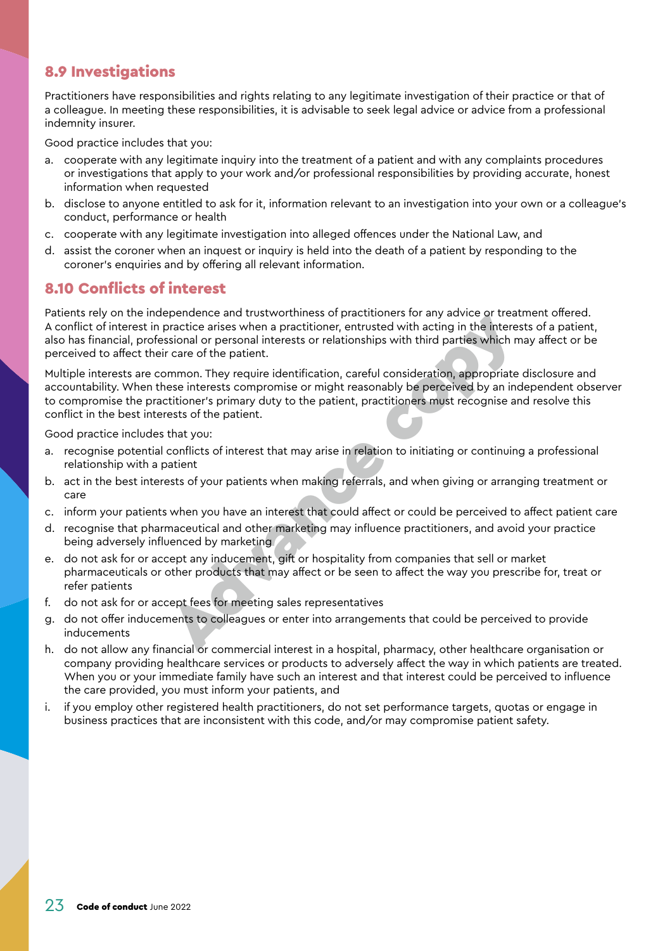#### <span id="page-22-0"></span>8.9 Investigations

Practitioners have responsibilities and rights relating to any legitimate investigation of their practice or that of a colleague. In meeting these responsibilities, it is advisable to seek legal advice or advice from a professional indemnity insurer.

Good practice includes that you:

- a. cooperate with any legitimate inquiry into the treatment of a patient and with any complaints procedures or investigations that apply to your work and/or professional responsibilities by providing accurate, honest information when requested
- b. disclose to anyone entitled to ask for it, information relevant to an investigation into your own or a colleague's conduct, performance or health
- c. cooperate with any legitimate investigation into alleged offences under the National Law, and
- d. assist the coroner when an inquest or inquiry is held into the death of a patient by responding to the coroner's enquiries and by offering all relevant information.

#### 8.10 Conflicts of interest

Patients rely on the independence and trustworthiness of practitioners for any advice or treatment offered. A conflict of interest in practice arises when a practitioner, entrusted with acting in the interests of a patient, also has financial, professional or personal interests or relationships with third parties which may affect or be perceived to affect their care of the patient.

Multiple interests are common. They require identification, careful consideration, appropriate disclosure and accountability. When these interests compromise or might reasonably be perceived by an independent observer to compromise the practitioner's primary duty to the patient, practitioners must recognise and resolve this conflict in the best interests of the patient. periodic and unstance and particularly or practicle arises of practicle arises of an aractitioner, entrusted with acting in the interestional or personal interests or relationships with third parties which means of the pat

- a. recognise potential conflicts of interest that may arise in relation to initiating or continuing a professional relationship with a patient
- b. act in the best interests of your patients when making referrals, and when giving or arranging treatment or care
- c. inform your patients when you have an interest that could affect or could be perceived to affect patient care
- d. recognise that pharmaceutical and other marketing may influence practitioners, and avoid your practice being adversely influenced by marketing
- e. do not ask for or accept any inducement, gift or hospitality from companies that sell or market pharmaceuticals or other products that may affect or be seen to affect the way you prescribe for, treat or refer patients
- f. do not ask for or accept fees for meeting sales representatives
- g. do not offer inducements to colleagues or enter into arrangements that could be perceived to provide inducements
- h. do not allow any financial or commercial interest in a hospital, pharmacy, other healthcare organisation or company providing healthcare services or products to adversely affect the way in which patients are treated. When you or your immediate family have such an interest and that interest could be perceived to influence the care provided, you must inform your patients, and
- i. if you employ other registered health practitioners, do not set performance targets, quotas or engage in business practices that are inconsistent with this code, and/or may compromise patient safety.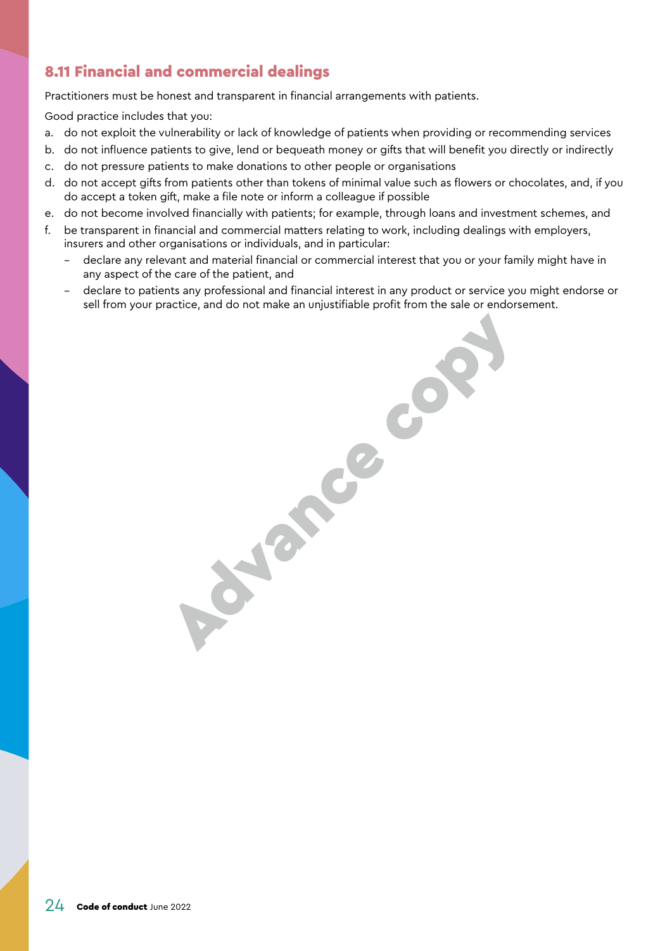### <span id="page-23-1"></span><span id="page-23-0"></span>8.11 Financial and commercial dealings

Practitioners must be honest and transparent in financial arrangements with patients.

Good practice includes that you:

- a. do not exploit the vulnerability or lack of knowledge of patients when providing or recommending services
- b. do not influence patients to give, lend or bequeath money or gifts that will benefit you directly or indirectly
- c. do not pressure patients to make donations to other people or organisations
- d. do not accept gifts from patients other than tokens of minimal value such as flowers or chocolates, and, if you do accept a token gift, make a file note or inform a colleague if possible
- e. do not become involved financially with patients; for example, through loans and investment schemes, and
- f. be transparent in financial and commercial matters relating to work, including dealings with employers, insurers and other organisations or individuals, and in particular:
	- declare any relevant and material financial or commercial interest that you or your family might have in any aspect of the care of the patient, and
	- declare to patients any professional and financial interest in any product or service you might endorse or sell from your practice, and do not make an unjustifiable profit from the sale or endorsement.

Advance co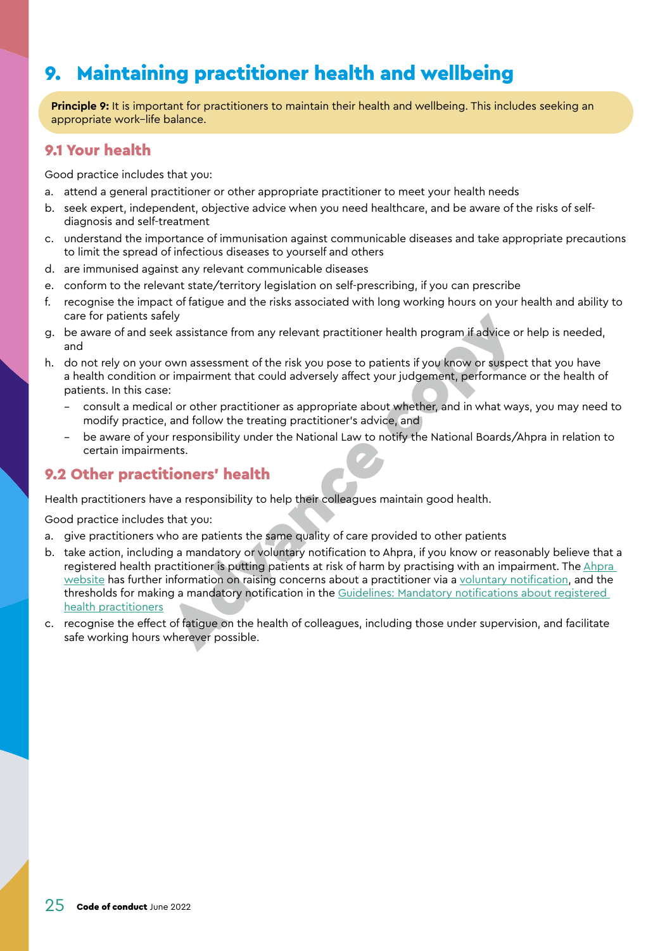# <span id="page-24-0"></span>9. Maintaining practitioner health and wellbeing

**Principle 9:** It is important for practitioners to maintain their health and wellbeing. This includes seeking an appropriate work–life balance.

#### <span id="page-24-1"></span>9.1 Your health

Good practice includes that you:

- a. attend a general practitioner or other appropriate practitioner to meet your health needs
- b. seek expert, independent, objective advice when you need healthcare, and be aware of the risks of selfdiagnosis and self-treatment
- c. understand the importance of immunisation against communicable diseases and take appropriate precautions to limit the spread of infectious diseases to yourself and others
- d. are immunised against any relevant communicable diseases
- e. conform to the relevant state/territory legislation on self-prescribing, if you can prescribe
- f. recognise the impact of fatigue and the risks associated with long working hours on your health and ability to care for patients safely
- g. be aware of and seek assistance from any relevant practitioner health program if advice or help is needed, and
- h. do not rely on your own assessment of the risk you pose to patients if you know or suspect that you have a health condition or impairment that could adversely affect your judgement, performance or the health of patients. In this case:
	- consult a medical or other practitioner as appropriate about whether, and in what ways, you may need to modify practice, and follow the treating practitioner's advice, and
	- be aware of your responsibility under the National Law to notify the National Boards/Ahpra in relation to certain impairments.

### <span id="page-24-2"></span>9.2 Other practitioners' health

Health practitioners have a responsibility to help their colleagues maintain good health.

- a. give practitioners who are patients the same quality of care provided to other patients
- b. take action, including a mandatory or voluntary notification to Ahpra, if you know or reasonably believe that a registered health practitioner is putting patients at risk of harm by practising with an impairment. The [Ahpra](https://www.ahpra.gov.au/Notifications.aspx)  [website](https://www.ahpra.gov.au/Notifications.aspx) has further information on raising concerns about a practitioner via a [voluntary notification,](https://www.ahpra.gov.au/Notifications/Raise-a-concern.aspx) and the thresholds for making a mandatory notification in the [Guidelines: Mandatory notifications about registered](https://www.ahpra.gov.au/Notifications/mandatorynotifications/Revised-guidelines.aspx)  [health practitioners](https://www.ahpra.gov.au/Notifications/mandatorynotifications/Revised-guidelines.aspx) care tor patients safely<br>
be aware of and seek assistance from any relevant practitioner health program if advice on<br>
be aware of and seek assistance from any relevant practitioner health program if advice on<br>
and<br>
be alre
- c. recognise the effect of fatigue on the health of colleagues, including those under supervision, and facilitate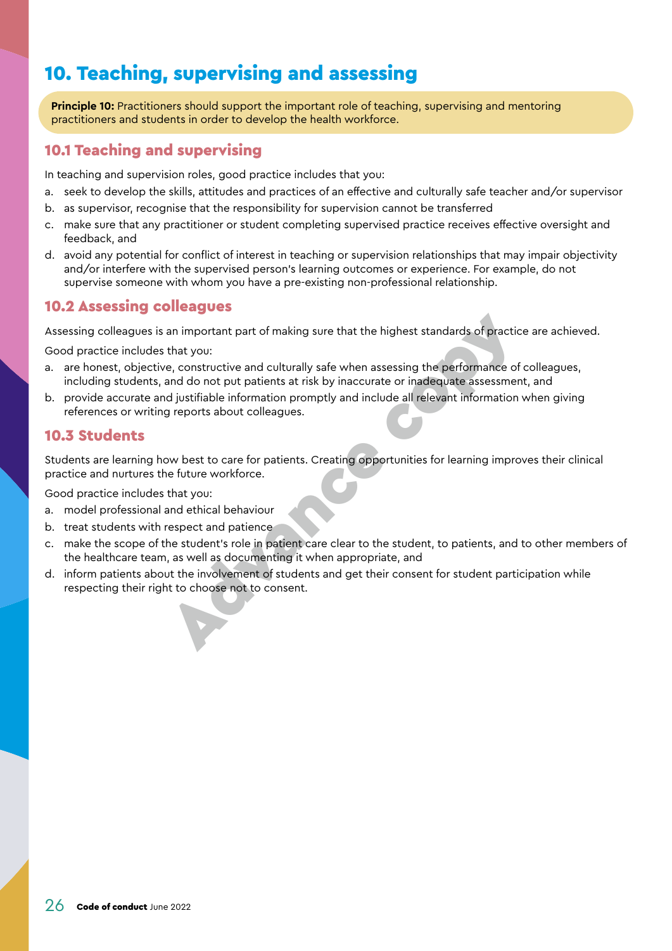# <span id="page-25-1"></span><span id="page-25-0"></span>10. Teaching, supervising and assessing

**Principle 10:** Practitioners should support the important role of teaching, supervising and mentoring practitioners and students in order to develop the health workforce.

#### 10.1 Teaching and supervising

In teaching and supervision roles, good practice includes that you:

- a. seek to develop the skills, attitudes and practices of an effective and culturally safe teacher and/or supervisor
- b. as supervisor, recognise that the responsibility for supervision cannot be transferred
- c. make sure that any practitioner or student completing supervised practice receives effective oversight and feedback, and
- d. avoid any potential for conflict of interest in teaching or supervision relationships that may impair objectivity and/or interfere with the supervised person's learning outcomes or experience. For example, do not supervise someone with whom you have a pre-existing non-professional relationship.

#### <span id="page-25-2"></span>10.2 Assessing colleagues

Assessing colleagues is an important part of making sure that the highest standards of practice are achieved.

Good practice includes that you:

- a. are honest, objective, constructive and culturally safe when assessing the performance of colleagues, including students, and do not put patients at risk by inaccurate or inadequate assessment, and respecting colleagues is an important part of making sure that the highest standards of practical practice includes that you:<br>
are honest, objective, constructive and culturally safe when assessing the performance of<br>
incl
- b. provide accurate and justifiable information promptly and include all relevant information when giving references or writing reports about colleagues.

#### 10.3 Students

Students are learning how best to care for patients. Creating opportunities for learning improves their clinical practice and nurtures the future workforce.

- a. model professional and ethical behaviour
- b. treat students with respect and patience
- c. make the scope of the student's role in patient care clear to the student, to patients, and to other members of the healthcare team, as well as documenting it when appropriate, and
- d. inform patients about the involvement of students and get their consent for student participation while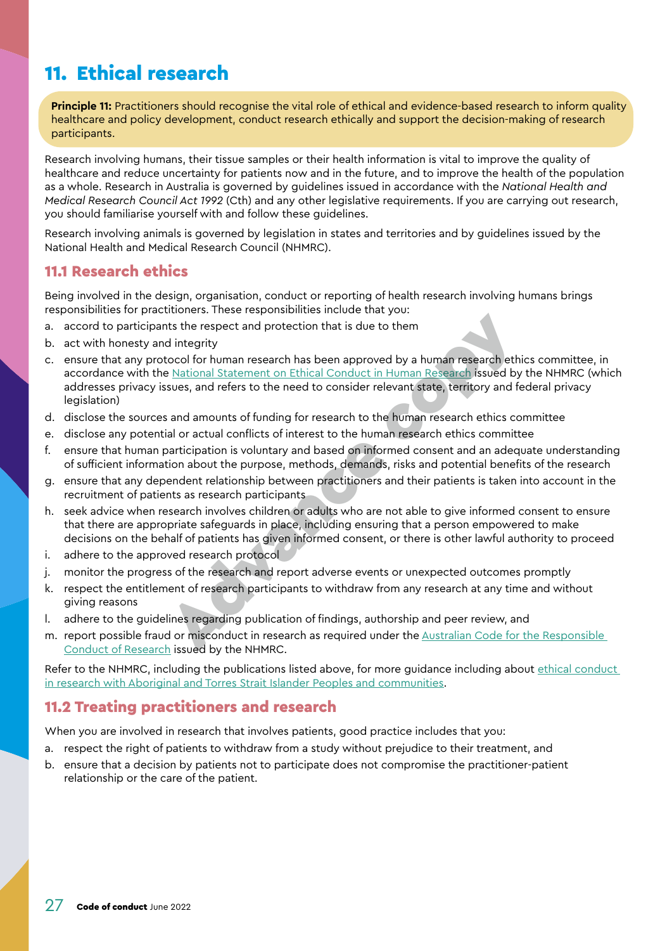# <span id="page-26-1"></span><span id="page-26-0"></span>11. Ethical research

**Principle 11:** Practitioners should recognise the vital role of ethical and evidence-based research to inform quality healthcare and policy development, conduct research ethically and support the decision-making of research participants.

Research involving humans, their tissue samples or their health information is vital to improve the quality of healthcare and reduce uncertainty for patients now and in the future, and to improve the health of the population as a whole. Research in Australia is governed by guidelines issued in accordance with the *National Health and Medical Research Council Act 1992* (Cth) and any other legislative requirements. If you are carrying out research, you should familiarise yourself with and follow these guidelines.

Research involving animals is governed by legislation in states and territories and by guidelines issued by the National Health and Medical Research Council (NHMRC).

#### 11.1 Research ethics

Being involved in the design, organisation, conduct or reporting of health research involving humans brings responsibilities for practitioners. These responsibilities include that you:

- a. accord to participants the respect and protection that is due to them
- b. act with honesty and integrity
- c. ensure that any protocol for human research has been approved by a human research ethics committee, in accordance with the National Statement on Ethical Conduct in Human Research issued by the NHMRC (which addresses privacy issues, and refers to the need to consider relevant state, territory and federal privacy legislation) It is the respect and protection that is due to them<br>It is the respect and protection that is due to them<br>Integrity<br>tocol for human research has been approved by a human research issued by<br>sues, and refers to the need to c
- d. disclose the sources and amounts of funding for research to the human research ethics committee
- e. disclose any potential or actual conflicts of interest to the human research ethics committee
- f. ensure that human participation is voluntary and based on informed consent and an adequate understanding of sufficient information about the purpose, methods, demands, risks and potential benefits of the research
- g. ensure that any dependent relationship between practitioners and their patients is taken into account in the recruitment of patients as research participants
- h. seek advice when research involves children or adults who are not able to give informed consent to ensure that there are appropriate safeguards in place, including ensuring that a person empowered to make decisions on the behalf of patients has given informed consent, or there is other lawful authority to proceed
- i. adhere to the approved research protocol
- j. monitor the progress of the research and report adverse events or unexpected outcomes promptly
- k. respect the entitlement of research participants to withdraw from any research at any time and without giving reasons
- l. adhere to the guidelines regarding publication of findings, authorship and peer review, and
- m. report possible fraud or misconduct in research as required under the [Australian Code for the Responsible](https://www.nhmrc.gov.au/about-us/publications/australian-code-responsible-conduct-research-2018)  [Conduct of Research](https://www.nhmrc.gov.au/about-us/publications/australian-code-responsible-conduct-research-2018) issued by the NHMRC.

Refer to the NHMRC, including the publications listed above, for more guidance including about ethical conduct [in research with Aboriginal and Torres Strait Islander Peoples and communities](https://www.nhmrc.gov.au/research-policy/ethics/ethical-guidelines-research-aboriginal-and-torres-strait-islander-peoples).

#### 11.2 Treating practitioners and research

When you are involved in research that involves patients, good practice includes that you:

- a. respect the right of patients to withdraw from a study without prejudice to their treatment, and
- b. ensure that a decision by patients not to participate does not compromise the practitioner-patient relationship or the care of the patient.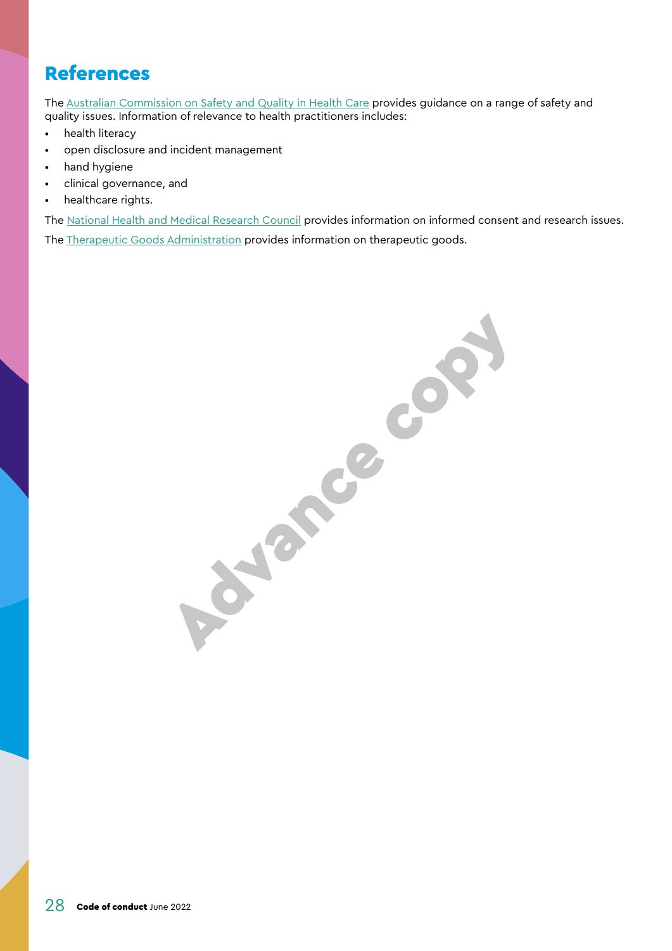### <span id="page-27-1"></span><span id="page-27-0"></span>References

The [Australian Commission on Safety and Quality in Health Care](https://www.safetyandquality.gov.au/) provides guidance on a range of safety and quality issues. Information of relevance to health practitioners includes:

- health literacy
- open disclosure and incident management
- hand hygiene
- clinical governance, and
- healthcare rights.

The [National Health and Medical Research Council](https://www.nhmrc.gov.au/) provides information on informed consent and research issues. The [Therapeutic Goods Administration](https://www.tga.gov.au/) provides information on therapeutic goods.

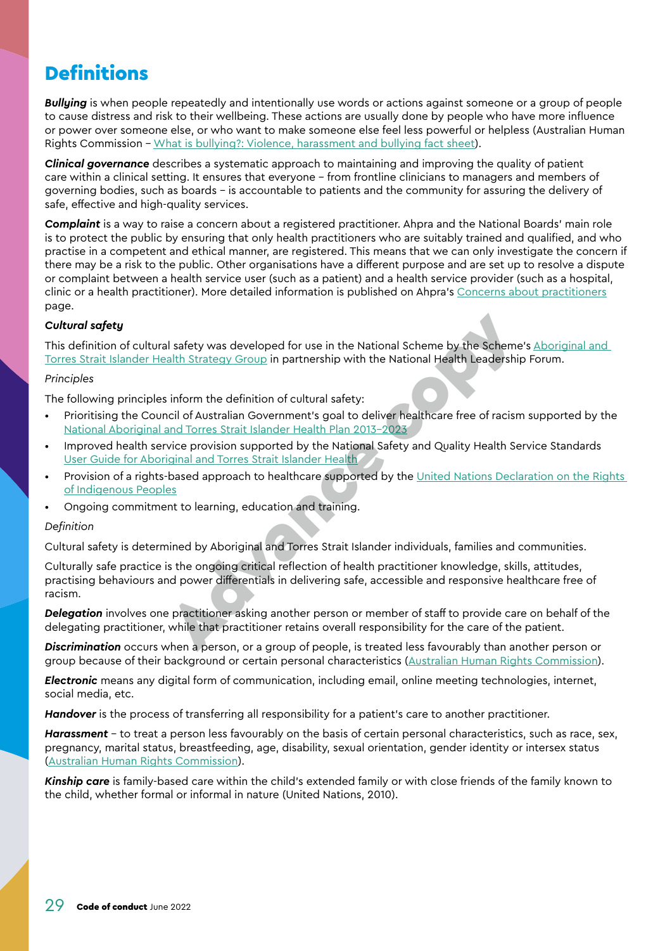# <span id="page-28-1"></span><span id="page-28-0"></span>**Definitions**

*Bullying* is when people repeatedly and intentionally use words or actions against someone or a group of people to cause distress and risk to their wellbeing. These actions are usually done by people who have more influence or power over someone else, or who want to make someone else feel less powerful or helpless (Australian Human Rights Commission – [What is bullying?: Violence, harassment and bullying fact sheet\)](https://humanrights.gov.au/our-work/commission-general/what-bullying-violence-harassment-and-bullying-fact-sheet).

*Clinical governance* describes a systematic approach to maintaining and improving the quality of patient care within a clinical setting. It ensures that everyone – from frontline clinicians to managers and members of governing bodies, such as boards – is accountable to patients and the community for assuring the delivery of safe, effective and high-quality services.

*Complaint* is a way to raise a concern about a registered practitioner. Ahpra and the National Boards' main role is to protect the public by ensuring that only health practitioners who are suitably trained and qualified, and who practise in a competent and ethical manner, are registered. This means that we can only investigate the concern if there may be a risk to the public. Other organisations have a different purpose and are set up to resolve a dispute or complaint between a health service user (such as a patient) and a health service provider (such as a hospital, clinic or a health practitioner). More detailed information is published on Ahpra's [Concerns about practitioners](https://www.ahpra.gov.au/Notifications.aspx) page.

#### *Cultural safety*

This definition of cultural safety was developed for use in the National Scheme by the Scheme's [Aboriginal and](https://www.ahpra.gov.au/About-Ahpra/Aboriginal-and-Torres-Strait-Islander-Health-Strategy.aspx)  [Torres Strait Islander Health Strategy Group](https://www.ahpra.gov.au/About-Ahpra/Aboriginal-and-Torres-Strait-Islander-Health-Strategy.aspx) in partnership with the National Health Leadership Forum.

#### *Principles*

The following principles inform the definition of cultural safety:

- Prioritising the Council of Australian Government's goal to deliver healthcare free of racism supported by the [National Aboriginal and Torres Strait Islander Health Plan 2013-2023](https://www.health.gov.au/resources/publications/national-aboriginal-and-torres-strait-islander-health-plan-2013-2023)
- Improved health service provision supported by the National Safety and Quality Health Service Standards [User Guide for Aboriginal and Torres Strait Islander Health](https://www.safetyandquality.gov.au/publications-and-resources/resource-library/nsqhs-standards-user-guide-aboriginal-and-torres-strait-islander-health)
- Provision of a rights-based approach to healthcare supported by the [United Nations Declaration on the Rights](https://humanrights.gov.au/our-work/un-declaration-rights-indigenous-peoples-1)  [of Indigenous Peoples](https://humanrights.gov.au/our-work/un-declaration-rights-indigenous-peoples-1)
- Ongoing commitment to learning, education and training.

#### *Definition*

Cultural safety is determined by Aboriginal and Torres Strait Islander individuals, families and communities.

Culturally safe practice is the ongoing critical reflection of health practitioner knowledge, skills, attitudes, practising behaviours and power differentials in delivering safe, accessible and responsive healthcare free of racism. al safety was developed for use in the National Scheme by the Scheme<br>
Alth Strategy Group in partnership with the National Health Leadership<br>
inform the definition of cultural safety:<br>
Incident Covernment's goal to deliver

*Delegation* involves one practitioner asking another person or member of staff to provide care on behalf of the delegating practitioner, while that practitioner retains overall responsibility for the care of the patient.

*Discrimination* occurs when a person, or a group of people, is treated less favourably than another person or group because of their background or certain personal characteristics ([Australian Human Rights Commission\)](https://humanrights.gov.au/our-work/employers/workplace-discrimination-harassment-and-bullying).

*Electronic* means any digital form of communication, including email, online meeting technologies, internet, social media, etc.

*Handover* is the process of transferring all responsibility for a patient's care to another practitioner.

*Harassment* – to treat a person less favourably on the basis of certain personal characteristics, such as race, sex, pregnancy, marital status, breastfeeding, age, disability, sexual orientation, gender identity or intersex status [\(Australian Human Rights Commission\)](https://humanrights.gov.au/our-work/employers/workplace-discrimination-harassment-and-bullying).

*Kinship care* is family-based care within the child's extended family or with close friends of the family known to the child, whether formal or informal in nature (United Nations, 2010).